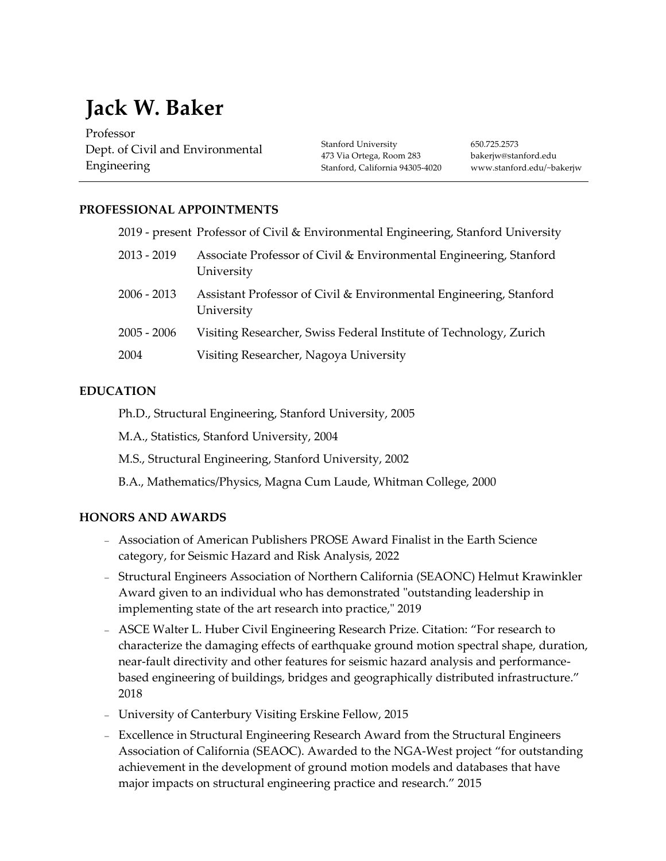# **Jack W. Baker**

Professor Dept. of Civil and Environmental Engineering

Stanford University 473 Via Ortega, Room 283 Stanford, California 94305-4020

650.725.2573 bakerjw@stanford.edu www.stanford.edu/~bakerjw

# **PROFESSIONAL APPOINTMENTS**

|               | 2019 - present Professor of Civil & Environmental Engineering, Stanford University |
|---------------|------------------------------------------------------------------------------------|
| $2013 - 2019$ | Associate Professor of Civil & Environmental Engineering, Stanford<br>University   |
| $2006 - 2013$ | Assistant Professor of Civil & Environmental Engineering, Stanford<br>University   |
| $2005 - 2006$ | Visiting Researcher, Swiss Federal Institute of Technology, Zurich                 |
| 2004          | Visiting Researcher, Nagoya University                                             |

## **EDUCATION**

Ph.D., Structural Engineering, Stanford University, 2005

M.A., Statistics, Stanford University, 2004

M.S., Structural Engineering, Stanford University, 2002

B.A., Mathematics/Physics, Magna Cum Laude, Whitman College, 2000

# **HONORS AND AWARDS**

- Association of American Publishers PROSE Award Finalist in the Earth Science category, for Seismic Hazard and Risk Analysis, 2022
- Structural Engineers Association of Northern California (SEAONC) Helmut Krawinkler Award given to an individual who has demonstrated "outstanding leadership in implementing state of the art research into practice," 2019
- ASCE Walter L. Huber Civil Engineering Research Prize. Citation: "For research to characterize the damaging effects of earthquake ground motion spectral shape, duration, near-fault directivity and other features for seismic hazard analysis and performancebased engineering of buildings, bridges and geographically distributed infrastructure." 2018
- University of Canterbury Visiting Erskine Fellow, 2015
- Excellence in Structural Engineering Research Award from the Structural Engineers Association of California (SEAOC). Awarded to the NGA-West project "for outstanding achievement in the development of ground motion models and databases that have major impacts on structural engineering practice and research." 2015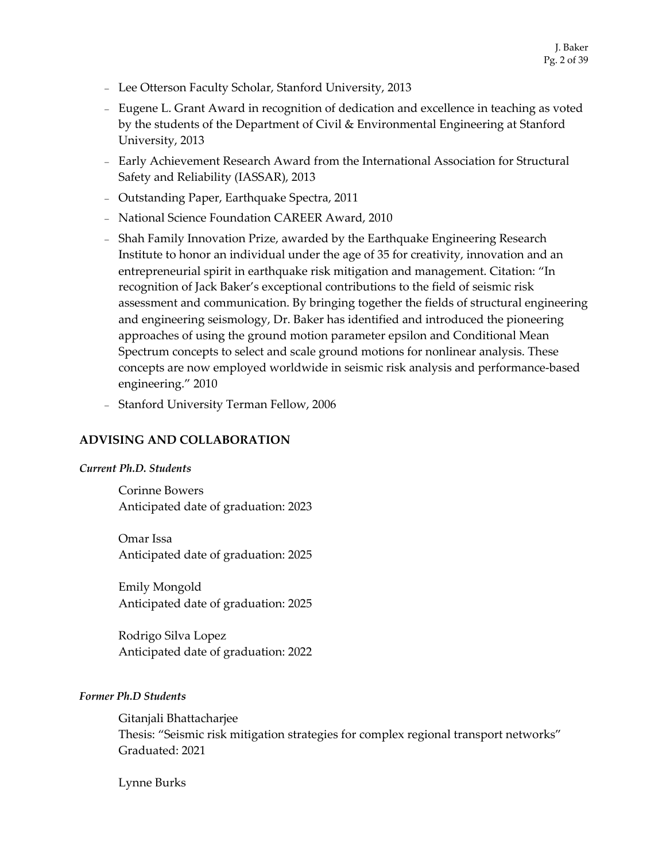- Lee Otterson Faculty Scholar, Stanford University, 2013
- Eugene L. Grant Award in recognition of dedication and excellence in teaching as voted by the students of the Department of Civil & Environmental Engineering at Stanford University, 2013
- Early Achievement Research Award from the International Association for Structural Safety and Reliability (IASSAR), 2013
- Outstanding Paper, Earthquake Spectra, 2011
- National Science Foundation CAREER Award, 2010
- Shah Family Innovation Prize, awarded by the Earthquake Engineering Research Institute to honor an individual under the age of 35 for creativity, innovation and an entrepreneurial spirit in earthquake risk mitigation and management. Citation: "In recognition of Jack Baker's exceptional contributions to the field of seismic risk assessment and communication. By bringing together the fields of structural engineering and engineering seismology, Dr. Baker has identified and introduced the pioneering approaches of using the ground motion parameter epsilon and Conditional Mean Spectrum concepts to select and scale ground motions for nonlinear analysis. These concepts are now employed worldwide in seismic risk analysis and performance-based engineering." 2010
- Stanford University Terman Fellow, 2006

#### **ADVISING AND COLLABORATION**

#### *Current Ph.D. Students*

Corinne Bowers Anticipated date of graduation: 2023

Omar Issa Anticipated date of graduation: 2025

Emily Mongold Anticipated date of graduation: 2025

Rodrigo Silva Lopez Anticipated date of graduation: 2022

#### *Former Ph.D Students*

Gitanjali Bhattacharjee Thesis: "Seismic risk mitigation strategies for complex regional transport networks" Graduated: 2021

Lynne Burks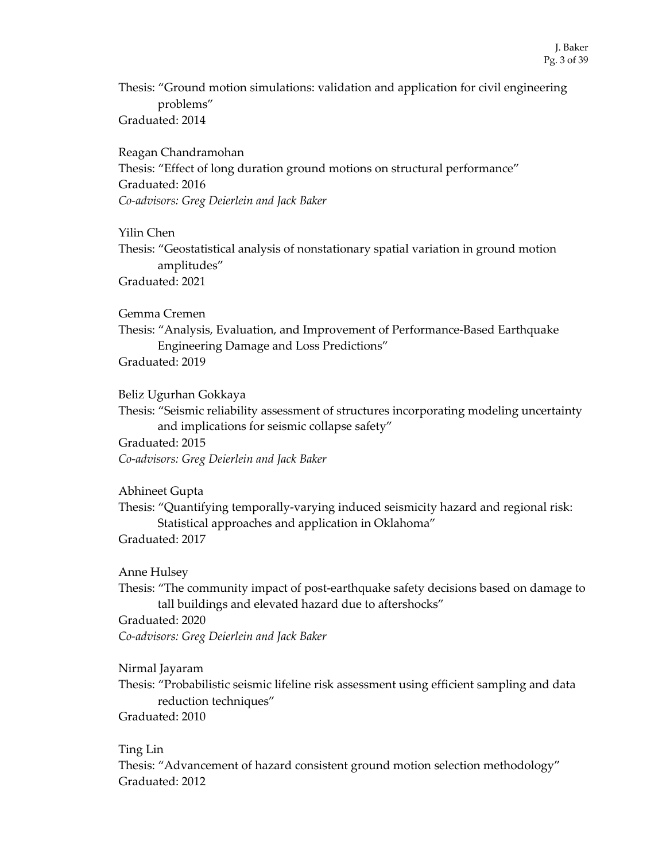Thesis: "Ground motion simulations: validation and application for civil engineering problems" Graduated: 2014

Reagan Chandramohan Thesis: "Effect of long duration ground motions on structural performance" Graduated: 2016 *Co-advisors: Greg Deierlein and Jack Baker*

Yilin Chen

Thesis: "Geostatistical analysis of nonstationary spatial variation in ground motion amplitudes" Graduated: 2021

Gemma Cremen

Thesis: "Analysis, Evaluation, and Improvement of Performance-Based Earthquake Engineering Damage and Loss Predictions"

Graduated: 2019

Beliz Ugurhan Gokkaya

Thesis: "Seismic reliability assessment of structures incorporating modeling uncertainty and implications for seismic collapse safety"

Graduated: 2015 *Co-advisors: Greg Deierlein and Jack Baker*

Abhineet Gupta

Thesis: "Quantifying temporally-varying induced seismicity hazard and regional risk: Statistical approaches and application in Oklahoma" Graduated: 2017

Anne Hulsey

Thesis: "The community impact of post-earthquake safety decisions based on damage to tall buildings and elevated hazard due to aftershocks"

Graduated: 2020

*Co-advisors: Greg Deierlein and Jack Baker*

Nirmal Jayaram

Thesis: "Probabilistic seismic lifeline risk assessment using efficient sampling and data reduction techniques"

Graduated: 2010

Ting Lin

Thesis: "Advancement of hazard consistent ground motion selection methodology" Graduated: 2012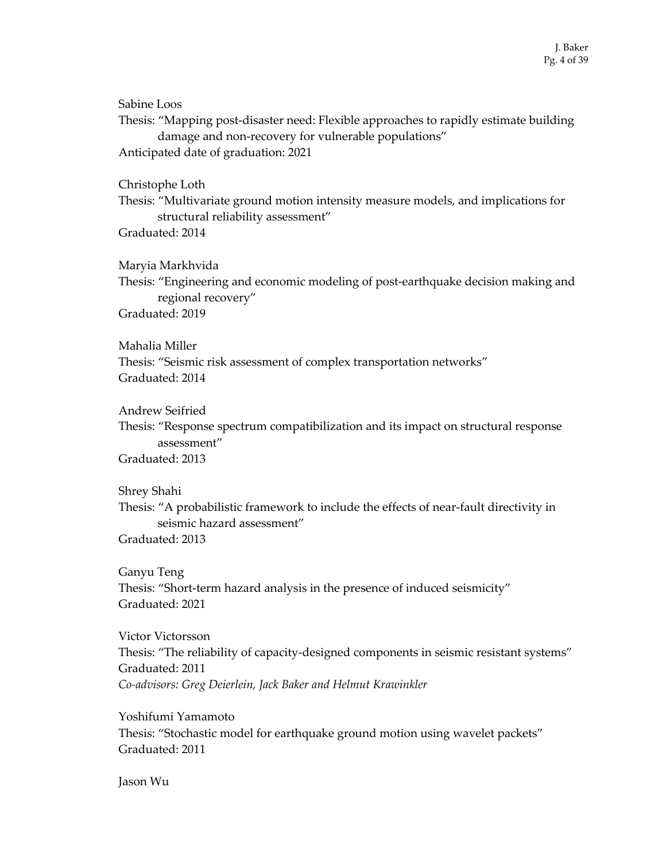Sabine Loos Thesis: "Mapping post-disaster need: Flexible approaches to rapidly estimate building damage and non-recovery for vulnerable populations" Anticipated date of graduation: 2021

#### Christophe Loth

Thesis: "Multivariate ground motion intensity measure models, and implications for structural reliability assessment" Graduated: 2014

#### Maryia Markhvida

Thesis: "Engineering and economic modeling of post-earthquake decision making and regional recovery" Graduated: 2019

## Mahalia Miller

Thesis: "Seismic risk assessment of complex transportation networks" Graduated: 2014

Andrew Seifried

Thesis: "Response spectrum compatibilization and its impact on structural response assessment"

Graduated: 2013

Shrey Shahi

Thesis: "A probabilistic framework to include the effects of near-fault directivity in seismic hazard assessment"

Graduated: 2013

Ganyu Teng Thesis: "Short-term hazard analysis in the presence of induced seismicity" Graduated: 2021

Victor Victorsson Thesis: "The reliability of capacity-designed components in seismic resistant systems" Graduated: 2011 *Co-advisors: Greg Deierlein, Jack Baker and Helmut Krawinkler*

Yoshifumi Yamamoto Thesis: "Stochastic model for earthquake ground motion using wavelet packets" Graduated: 2011

Jason Wu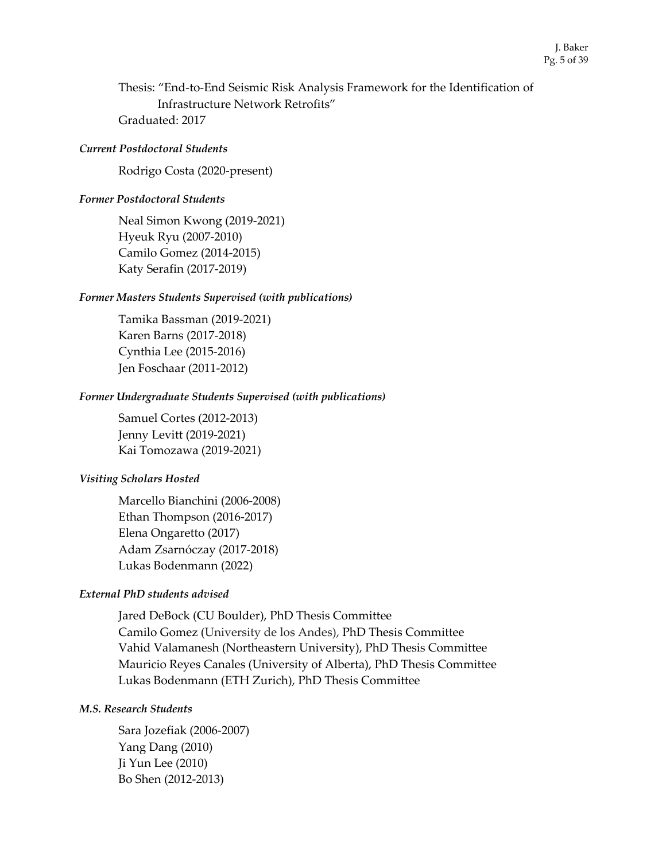Thesis: "End-to-End Seismic Risk Analysis Framework for the Identification of Infrastructure Network Retrofits" Graduated: 2017

#### *Current Postdoctoral Students*

Rodrigo Costa (2020-present)

#### *Former Postdoctoral Students*

Neal Simon Kwong (2019-2021) Hyeuk Ryu (2007-2010) Camilo Gomez (2014-2015) Katy Serafin (2017-2019)

#### *Former Masters Students Supervised (with publications)*

Tamika Bassman (2019-2021) Karen Barns (2017-2018) Cynthia Lee (2015-2016) Jen Foschaar (2011-2012)

#### *Former Undergraduate Students Supervised (with publications)*

Samuel Cortes (2012-2013) Jenny Levitt (2019-2021) Kai Tomozawa (2019-2021)

#### *Visiting Scholars Hosted*

Marcello Bianchini (2006-2008) Ethan Thompson (2016-2017) Elena Ongaretto (2017) Adam Zsarnóczay (2017-2018) Lukas Bodenmann (2022)

#### *External PhD students advised*

Jared DeBock (CU Boulder), PhD Thesis Committee Camilo Gomez (University de los Andes), PhD Thesis Committee Vahid Valamanesh (Northeastern University), PhD Thesis Committee Mauricio Reyes Canales (University of Alberta), PhD Thesis Committee Lukas Bodenmann (ETH Zurich), PhD Thesis Committee

#### *M.S. Research Students*

Sara Jozefiak (2006-2007) Yang Dang (2010) Ji Yun Lee (2010) Bo Shen (2012-2013)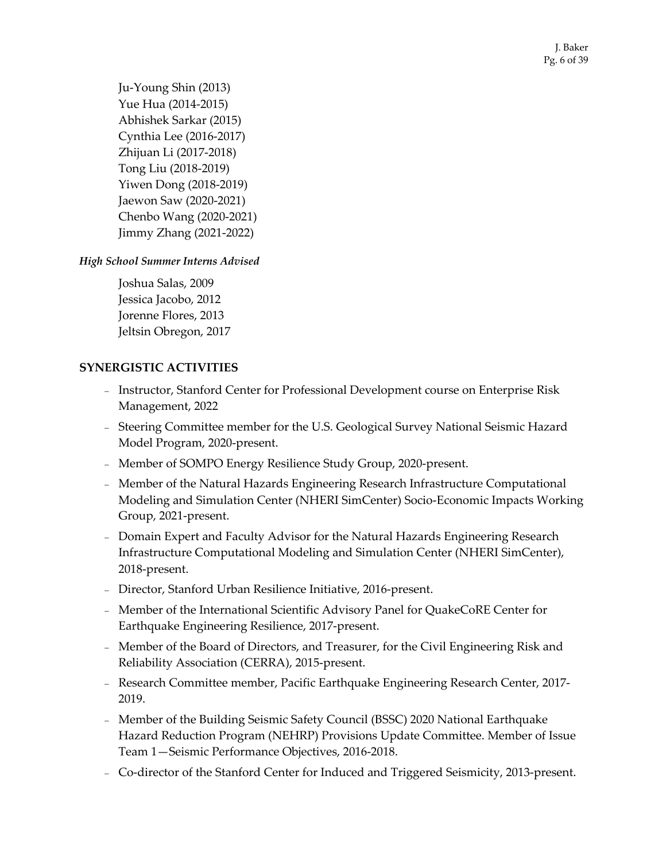Ju-Young Shin (2013) Yue Hua (2014-2015) Abhishek Sarkar (2015) Cynthia Lee (2016-2017) Zhijuan Li (2017-2018) Tong Liu (2018-2019) Yiwen Dong (2018-2019) Jaewon Saw (2020-2021) Chenbo Wang (2020-2021) Jimmy Zhang (2021-2022)

# *High School Summer Interns Advised*

Joshua Salas, 2009 Jessica Jacobo, 2012 Jorenne Flores, 2013 Jeltsin Obregon, 2017

# **SYNERGISTIC ACTIVITIES**

- Instructor, Stanford Center for Professional Development course on Enterprise Risk Management, 2022
- Steering Committee member for the U.S. Geological Survey National Seismic Hazard Model Program, 2020-present.
- Member of SOMPO Energy Resilience Study Group, 2020-present.
- Member of the Natural Hazards Engineering Research Infrastructure Computational Modeling and Simulation Center (NHERI SimCenter) Socio-Economic Impacts Working Group, 2021-present.
- Domain Expert and Faculty Advisor for the Natural Hazards Engineering Research Infrastructure Computational Modeling and Simulation Center (NHERI SimCenter), 2018-present.
- Director, Stanford Urban Resilience Initiative, 2016-present.
- Member of the International Scientific Advisory Panel for QuakeCoRE Center for Earthquake Engineering Resilience, 2017-present.
- Member of the Board of Directors, and Treasurer, for the Civil Engineering Risk and Reliability Association (CERRA), 2015-present.
- Research Committee member, Pacific Earthquake Engineering Research Center, 2017- 2019.
- Member of the Building Seismic Safety Council (BSSC) 2020 National Earthquake Hazard Reduction Program (NEHRP) Provisions Update Committee. Member of Issue Team 1—Seismic Performance Objectives, 2016-2018.
- Co-director of the Stanford Center for Induced and Triggered Seismicity, 2013-present.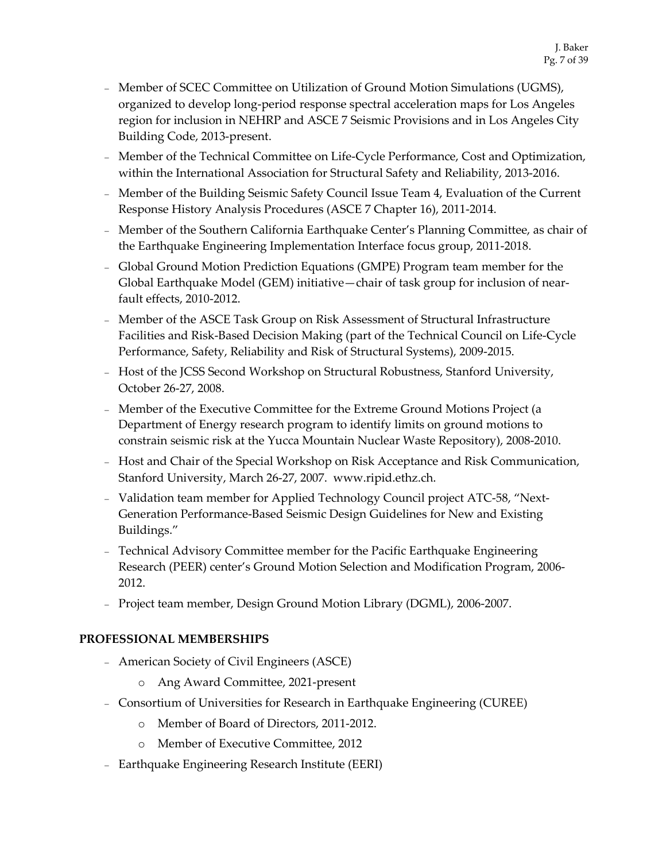- Member of SCEC Committee on Utilization of Ground Motion Simulations (UGMS), organized to develop long-period response spectral acceleration maps for Los Angeles region for inclusion in NEHRP and ASCE 7 Seismic Provisions and in Los Angeles City Building Code, 2013-present.
- Member of the Technical Committee on Life-Cycle Performance, Cost and Optimization, within the International Association for Structural Safety and Reliability, 2013-2016.
- Member of the Building Seismic Safety Council Issue Team 4, Evaluation of the Current Response History Analysis Procedures (ASCE 7 Chapter 16), 2011-2014.
- Member of the Southern California Earthquake Center's Planning Committee, as chair of the Earthquake Engineering Implementation Interface focus group, 2011-2018.
- Global Ground Motion Prediction Equations (GMPE) Program team member for the Global Earthquake Model (GEM) initiative—chair of task group for inclusion of nearfault effects, 2010-2012.
- Member of the ASCE Task Group on Risk Assessment of Structural Infrastructure Facilities and Risk-Based Decision Making (part of the Technical Council on Life-Cycle Performance, Safety, Reliability and Risk of Structural Systems), 2009-2015.
- Host of the JCSS Second Workshop on Structural Robustness, Stanford University, October 26-27, 2008.
- Member of the Executive Committee for the Extreme Ground Motions Project (a Department of Energy research program to identify limits on ground motions to constrain seismic risk at the Yucca Mountain Nuclear Waste Repository), 2008-2010.
- Host and Chair of the Special Workshop on Risk Acceptance and Risk Communication, Stanford University, March 26-27, 2007. www.ripid.ethz.ch.
- Validation team member for Applied Technology Council project ATC-58, "Next-Generation Performance-Based Seismic Design Guidelines for New and Existing Buildings."
- Technical Advisory Committee member for the Pacific Earthquake Engineering Research (PEER) center's Ground Motion Selection and Modification Program, 2006- 2012.
- Project team member, Design Ground Motion Library (DGML), 2006-2007.

# **PROFESSIONAL MEMBERSHIPS**

- American Society of Civil Engineers (ASCE)
	- o Ang Award Committee, 2021-present
- Consortium of Universities for Research in Earthquake Engineering (CUREE)
	- o Member of Board of Directors, 2011-2012.
	- o Member of Executive Committee, 2012
- Earthquake Engineering Research Institute (EERI)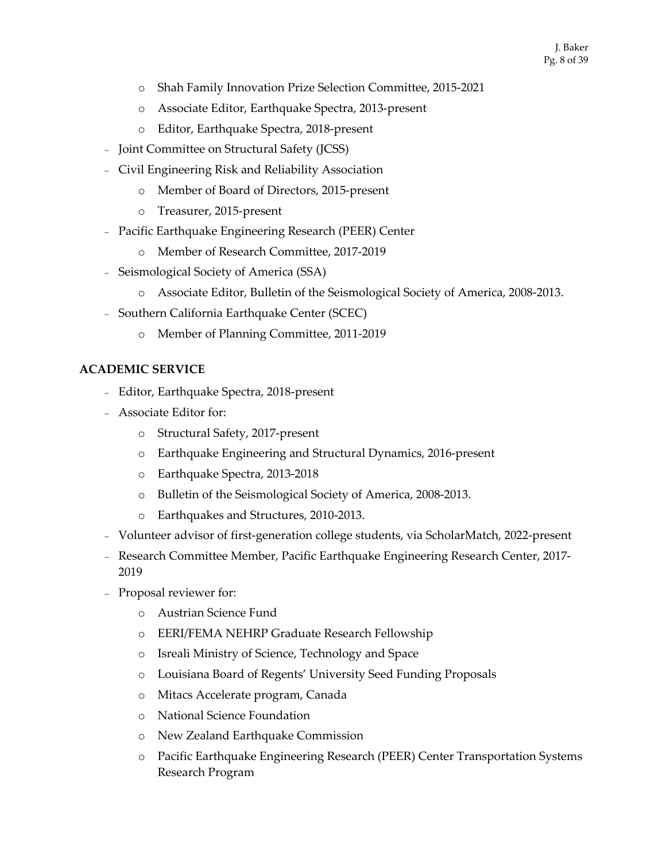- o Shah Family Innovation Prize Selection Committee, 2015-2021
- o Associate Editor, Earthquake Spectra, 2013-present
- o Editor, Earthquake Spectra, 2018-present
- Joint Committee on Structural Safety (JCSS)
- Civil Engineering Risk and Reliability Association
	- o Member of Board of Directors, 2015-present
	- o Treasurer, 2015-present
- Pacific Earthquake Engineering Research (PEER) Center
	- o Member of Research Committee, 2017-2019
- Seismological Society of America (SSA)
	- o Associate Editor, Bulletin of the Seismological Society of America, 2008-2013.
- Southern California Earthquake Center (SCEC)
	- o Member of Planning Committee, 2011-2019

# **ACADEMIC SERVICE**

- Editor, Earthquake Spectra, 2018-present
- Associate Editor for:
	- o Structural Safety, 2017-present
	- o Earthquake Engineering and Structural Dynamics, 2016-present
	- o Earthquake Spectra, 2013-2018
	- o Bulletin of the Seismological Society of America, 2008-2013.
	- o Earthquakes and Structures, 2010-2013.
- Volunteer advisor of first-generation college students, via ScholarMatch, 2022-present
- Research Committee Member, Pacific Earthquake Engineering Research Center, 2017- 2019
- Proposal reviewer for:
	- o Austrian Science Fund
	- o EERI/FEMA NEHRP Graduate Research Fellowship
	- o Isreali Ministry of Science, Technology and Space
	- o Louisiana Board of Regents' University Seed Funding Proposals
	- o Mitacs Accelerate program, Canada
	- o National Science Foundation
	- o New Zealand Earthquake Commission
	- o Pacific Earthquake Engineering Research (PEER) Center Transportation Systems Research Program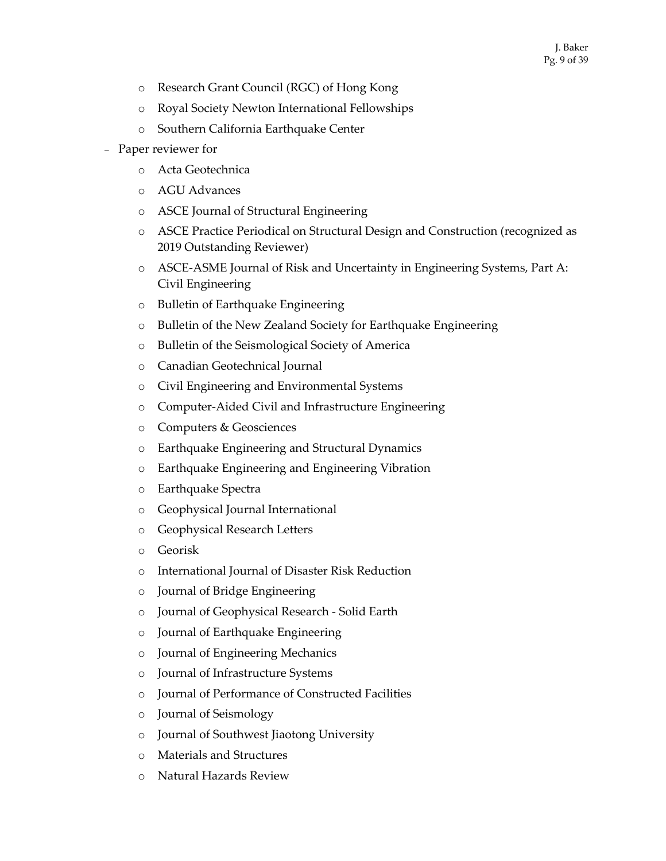- o Research Grant Council (RGC) of Hong Kong
- o Royal Society Newton International Fellowships
- o Southern California Earthquake Center
- Paper reviewer for
	- o Acta Geotechnica
	- o AGU Advances
	- o ASCE Journal of Structural Engineering
	- o ASCE Practice Periodical on Structural Design and Construction (recognized as 2019 Outstanding Reviewer)
	- o ASCE-ASME Journal of Risk and Uncertainty in Engineering Systems, Part A: Civil Engineering
	- o Bulletin of Earthquake Engineering
	- o Bulletin of the New Zealand Society for Earthquake Engineering
	- o Bulletin of the Seismological Society of America
	- o Canadian Geotechnical Journal
	- o Civil Engineering and Environmental Systems
	- o Computer-Aided Civil and Infrastructure Engineering
	- o Computers & Geosciences
	- o Earthquake Engineering and Structural Dynamics
	- o Earthquake Engineering and Engineering Vibration
	- o Earthquake Spectra
	- o Geophysical Journal International
	- o Geophysical Research Letters
	- o Georisk
	- o International Journal of Disaster Risk Reduction
	- o Journal of Bridge Engineering
	- o Journal of Geophysical Research Solid Earth
	- o Journal of Earthquake Engineering
	- o Journal of Engineering Mechanics
	- o Journal of Infrastructure Systems
	- o Journal of Performance of Constructed Facilities
	- o Journal of Seismology
	- o Journal of Southwest Jiaotong University
	- o Materials and Structures
	- o Natural Hazards Review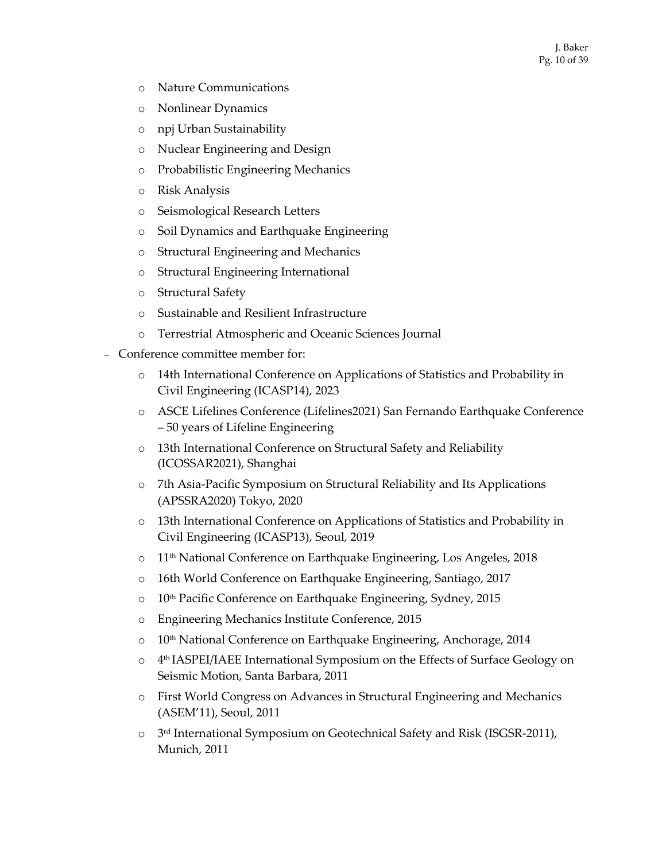- o Nature Communications
- o Nonlinear Dynamics
- o npj Urban Sustainability
- o Nuclear Engineering and Design
- o Probabilistic Engineering Mechanics
- o Risk Analysis
- o Seismological Research Letters
- o Soil Dynamics and Earthquake Engineering
- o Structural Engineering and Mechanics
- o Structural Engineering International
- o Structural Safety
- o Sustainable and Resilient Infrastructure
- o Terrestrial Atmospheric and Oceanic Sciences Journal
- Conference committee member for:
	- o 14th International Conference on Applications of Statistics and Probability in Civil Engineering (ICASP14), 2023
	- o ASCE Lifelines Conference (Lifelines2021) San Fernando Earthquake Conference – 50 years of Lifeline Engineering
	- o 13th International Conference on Structural Safety and Reliability (ICOSSAR2021), Shanghai
	- o 7th Asia-Pacific Symposium on Structural Reliability and Its Applications (APSSRA2020) Tokyo, 2020
	- o 13th International Conference on Applications of Statistics and Probability in Civil Engineering (ICASP13), Seoul, 2019
	- o 11th National Conference on Earthquake Engineering, Los Angeles, 2018
	- o 16th World Conference on Earthquake Engineering, Santiago, 2017
	- o 10th Pacific Conference on Earthquake Engineering, Sydney, 2015
	- o Engineering Mechanics Institute Conference, 2015
	- o 10<sup>th</sup> National Conference on Earthquake Engineering, Anchorage, 2014
	- o 4th IASPEI/IAEE International Symposium on the Effects of Surface Geology on Seismic Motion, Santa Barbara, 2011
	- o First World Congress on Advances in Structural Engineering and Mechanics (ASEM'11), Seoul, 2011
	- $\circ$  3<sup>rd</sup> International Symposium on Geotechnical Safety and Risk (ISGSR-2011), Munich, 2011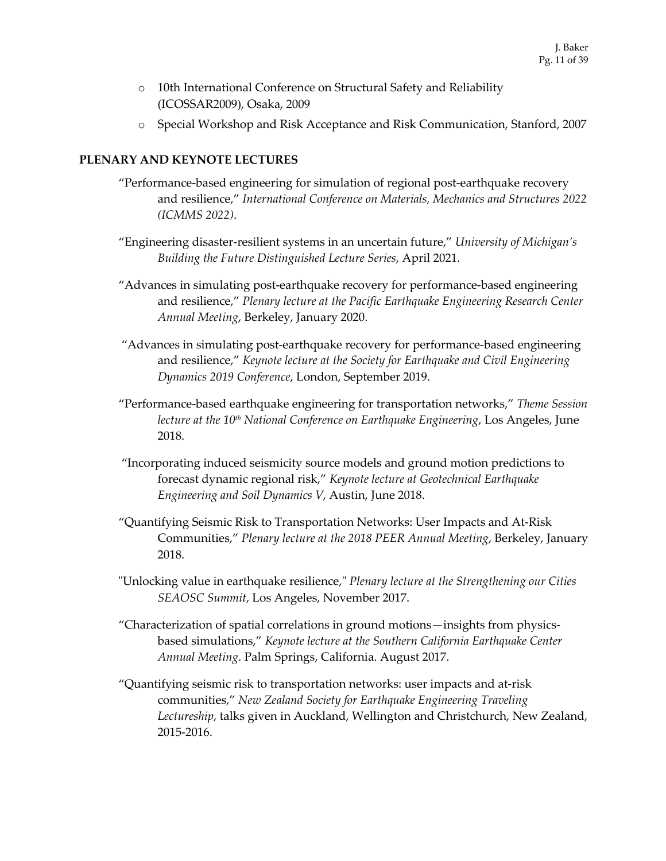- o 10th International Conference on Structural Safety and Reliability (ICOSSAR2009), Osaka, 2009
- o Special Workshop and Risk Acceptance and Risk Communication, Stanford, 2007

## **PLENARY AND KEYNOTE LECTURES**

- "Performance-based engineering for simulation of regional post-earthquake recovery and resilience," *International Conference on Materials, Mechanics and Structures 2022 (ICMMS 2022)*.
- "Engineering disaster-resilient systems in an uncertain future," *University of Michigan's Building the Future Distinguished Lecture Series*, April 2021.
- "Advances in simulating post-earthquake recovery for performance-based engineering and resilience," *Plenary lecture at the Pacific Earthquake Engineering Research Center Annual Meeting*, Berkeley, January 2020.
- "Advances in simulating post-earthquake recovery for performance-based engineering and resilience," *Keynote lecture at the Society for Earthquake and Civil Engineering Dynamics 2019 Conference*, London, September 2019.
- "Performance-based earthquake engineering for transportation networks," *Theme Session lecture at the 10th National Conference on Earthquake Engineering*, Los Angeles, June 2018.
- "Incorporating induced seismicity source models and ground motion predictions to forecast dynamic regional risk," *Keynote lecture at Geotechnical Earthquake Engineering and Soil Dynamics V*, Austin, June 2018.
- "Quantifying Seismic Risk to Transportation Networks: User Impacts and At-Risk Communities," *Plenary lecture at the 2018 PEER Annual Meeting*, Berkeley, January 2018.
- "Unlocking value in earthquake resilience," *Plenary lecture at the Strengthening our Cities SEAOSC Summit*, Los Angeles, November 2017.
- "Characterization of spatial correlations in ground motions—insights from physicsbased simulations," *Keynote lecture at the Southern California Earthquake Center Annual Meeting*. Palm Springs, California. August 2017.
- "Quantifying seismic risk to transportation networks: user impacts and at-risk communities," *New Zealand Society for Earthquake Engineering Traveling Lectureship*, talks given in Auckland, Wellington and Christchurch, New Zealand, 2015-2016.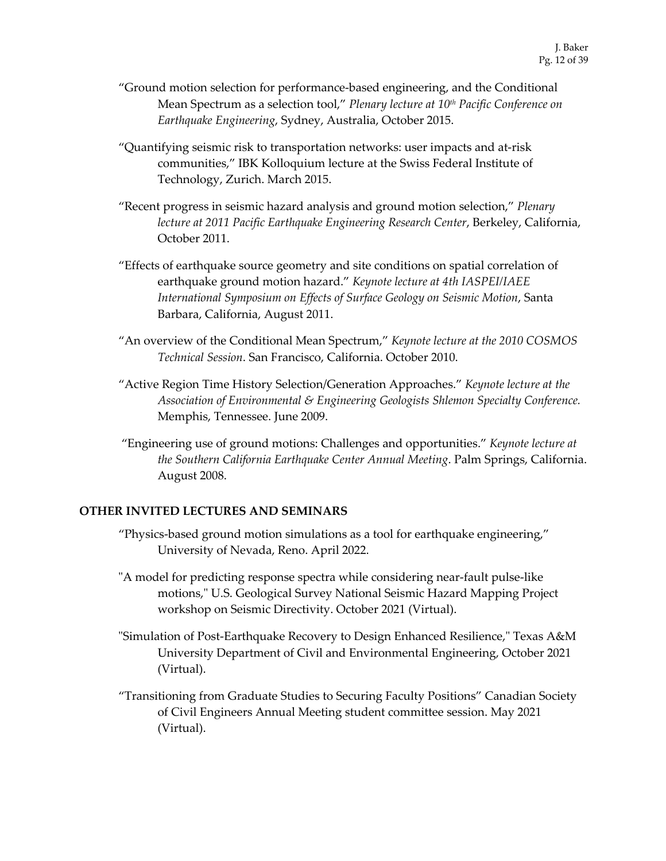- "Ground motion selection for performance-based engineering, and the Conditional Mean Spectrum as a selection tool," *Plenary lecture at 10th Pacific Conference on Earthquake Engineering*, Sydney, Australia, October 2015.
- "Quantifying seismic risk to transportation networks: user impacts and at-risk communities," IBK Kolloquium lecture at the Swiss Federal Institute of Technology, Zurich. March 2015.
- "Recent progress in seismic hazard analysis and ground motion selection," *Plenary lecture at 2011 Pacific Earthquake Engineering Research Center*, Berkeley, California, October 2011.
- "Effects of earthquake source geometry and site conditions on spatial correlation of earthquake ground motion hazard." *Keynote lecture at 4th IASPEI/IAEE International Symposium on Effects of Surface Geology on Seismic Motion*, Santa Barbara, California, August 2011.
- "An overview of the Conditional Mean Spectrum," *Keynote lecture at the 2010 COSMOS Technical Session*. San Francisco, California. October 2010.
- "Active Region Time History Selection/Generation Approaches." *Keynote lecture at the Association of Environmental & Engineering Geologists Shlemon Specialty Conference.* Memphis, Tennessee. June 2009.
- "Engineering use of ground motions: Challenges and opportunities." *Keynote lecture at the Southern California Earthquake Center Annual Meeting*. Palm Springs, California. August 2008.

# **OTHER INVITED LECTURES AND SEMINARS**

- "Physics-based ground motion simulations as a tool for earthquake engineering," University of Nevada, Reno. April 2022.
- "A model for predicting response spectra while considering near-fault pulse-like motions," U.S. Geological Survey National Seismic Hazard Mapping Project workshop on Seismic Directivity. October 2021 (Virtual).
- "Simulation of Post-Earthquake Recovery to Design Enhanced Resilience," Texas A&M University Department of Civil and Environmental Engineering, October 2021 (Virtual).
- "Transitioning from Graduate Studies to Securing Faculty Positions" Canadian Society of Civil Engineers Annual Meeting student committee session. May 2021 (Virtual).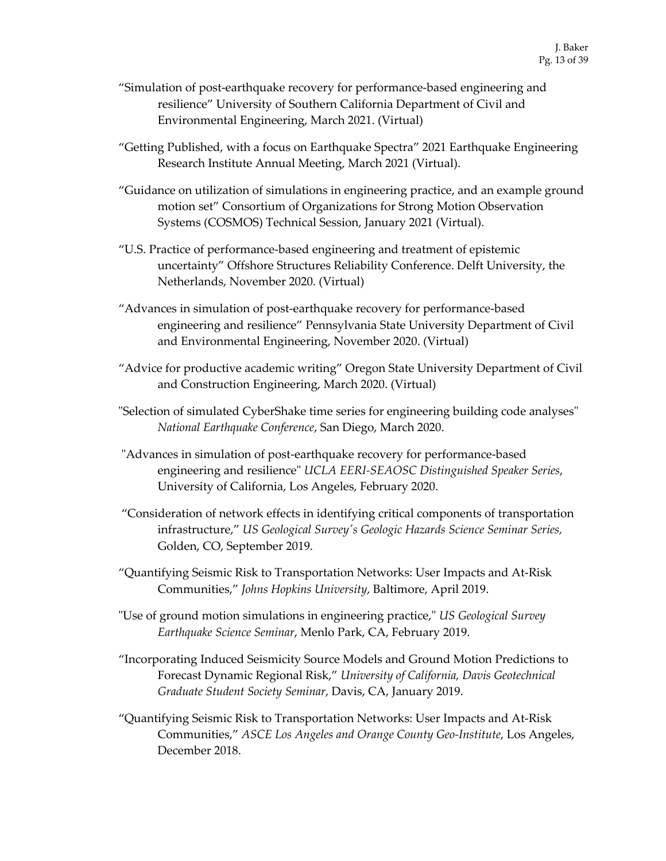- "Simulation of post-earthquake recovery for performance-based engineering and resilience" University of Southern California Department of Civil and Environmental Engineering, March 2021. (Virtual)
- "Getting Published, with a focus on Earthquake Spectra" 2021 Earthquake Engineering Research Institute Annual Meeting, March 2021 (Virtual).
- "Guidance on utilization of simulations in engineering practice, and an example ground motion set" Consortium of Organizations for Strong Motion Observation Systems (COSMOS) Technical Session, January 2021 (Virtual).
- "U.S. Practice of performance-based engineering and treatment of epistemic uncertainty" Offshore Structures Reliability Conference. Delft University, the Netherlands, November 2020. (Virtual)
- "Advances in simulation of post-earthquake recovery for performance-based engineering and resilience" Pennsylvania State University Department of Civil and Environmental Engineering, November 2020. (Virtual)
- "Advice for productive academic writing" Oregon State University Department of Civil and Construction Engineering, March 2020. (Virtual)
- "Selection of simulated CyberShake time series for engineering building code analyses" *National Earthquake Conference*, San Diego, March 2020.
- "Advances in simulation of post-earthquake recovery for performance-based engineering and resilience" *UCLA EERI-SEAOSC Distinguished Speaker Series*, University of California, Los Angeles, February 2020.
- "Consideration of network effects in identifying critical components of transportation infrastructure," *US Geological Survey's Geologic Hazards Science Seminar Series,* Golden, CO, September 2019.
- "Quantifying Seismic Risk to Transportation Networks: User Impacts and At-Risk Communities," *Johns Hopkins University*, Baltimore, April 2019.
- "Use of ground motion simulations in engineering practice," *US Geological Survey Earthquake Science Seminar*, Menlo Park, CA, February 2019.
- "Incorporating Induced Seismicity Source Models and Ground Motion Predictions to Forecast Dynamic Regional Risk," *University of California, Davis Geotechnical Graduate Student Society Seminar*, Davis, CA, January 2019.
- "Quantifying Seismic Risk to Transportation Networks: User Impacts and At-Risk Communities," *ASCE Los Angeles and Orange County Geo-Institute*, Los Angeles, December 2018.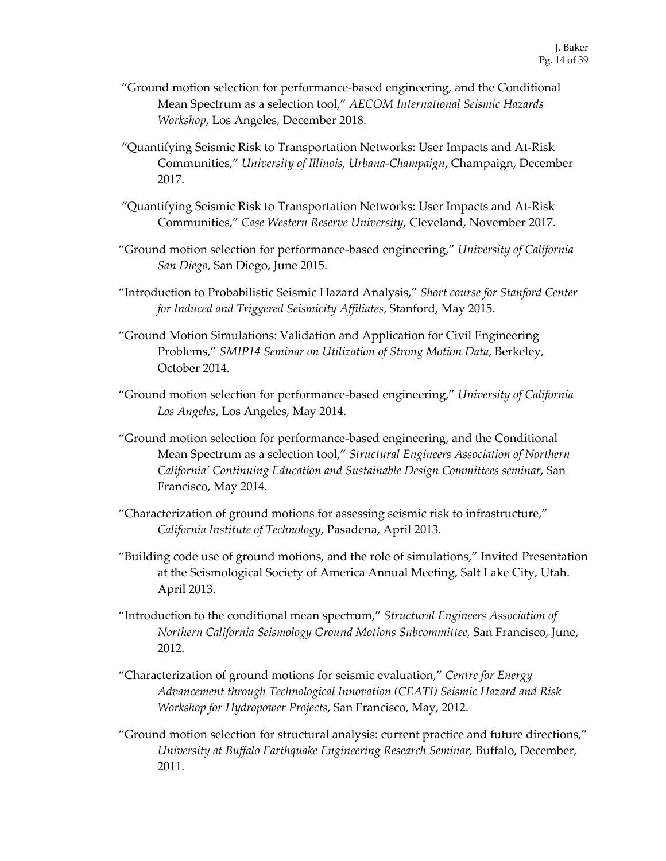- "Ground motion selection for performance-based engineering, and the Conditional Mean Spectrum as a selection tool," *AECOM International Seismic Hazards Workshop*, Los Angeles, December 2018.
- "Quantifying Seismic Risk to Transportation Networks: User Impacts and At-Risk Communities," *University of Illinois, Urbana-Champaign*, Champaign, December 2017.
- "Quantifying Seismic Risk to Transportation Networks: User Impacts and At-Risk Communities," *Case Western Reserve University*, Cleveland, November 2017.
- "Ground motion selection for performance-based engineering," *University of California San Diego*, San Diego, June 2015.
- "Introduction to Probabilistic Seismic Hazard Analysis," *Short course for Stanford Center for Induced and Triggered Seismicity Affiliates*, Stanford, May 2015.
- "Ground Motion Simulations: Validation and Application for Civil Engineering Problems," *SMIP14 Seminar on Utilization of Strong Motion Data*, Berkeley, October 2014.
- "Ground motion selection for performance-based engineering," *University of California Los Angeles*, Los Angeles, May 2014.
- "Ground motion selection for performance-based engineering, and the Conditional Mean Spectrum as a selection tool," *Structural Engineers Association of Northern California' Continuing Education and Sustainable Design Committees seminar*, San Francisco, May 2014.
- "Characterization of ground motions for assessing seismic risk to infrastructure," *California Institute of Technology*, Pasadena, April 2013.
- "Building code use of ground motions, and the role of simulations," Invited Presentation at the Seismological Society of America Annual Meeting, Salt Lake City, Utah. April 2013.
- "Introduction to the conditional mean spectrum," *Structural Engineers Association of Northern California Seismology Ground Motions Subcommittee,* San Francisco, June, 2012.
- "Characterization of ground motions for seismic evaluation," *Centre for Energy Advancement through Technological Innovation (CEATI) Seismic Hazard and Risk Workshop for Hydropower Projects*, San Francisco, May, 2012.
- "Ground motion selection for structural analysis: current practice and future directions," *University at Buffalo Earthquake Engineering Research Seminar,* Buffalo, December, 2011.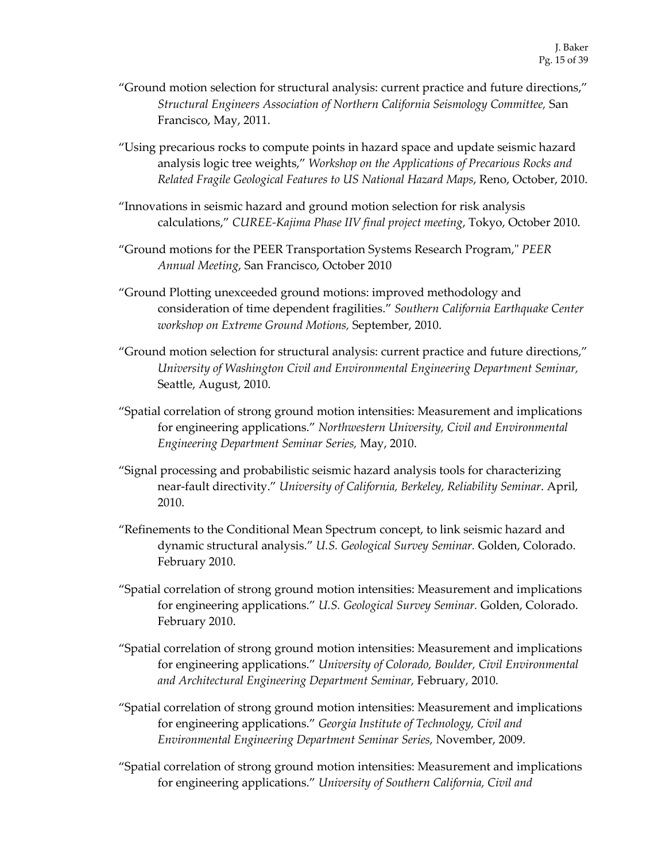- "Ground motion selection for structural analysis: current practice and future directions," *Structural Engineers Association of Northern California Seismology Committee,* San Francisco, May, 2011.
- "Using precarious rocks to compute points in hazard space and update seismic hazard analysis logic tree weights," *Workshop on the Applications of Precarious Rocks and Related Fragile Geological Features to US National Hazard Maps*, Reno, October, 2010.
- "Innovations in seismic hazard and ground motion selection for risk analysis calculations," *CUREE-Kajima Phase IIV final project meeting*, Tokyo, October 2010.
- "Ground motions for the PEER Transportation Systems Research Program," *PEER Annual Meeting*, San Francisco, October 2010
- "Ground Plotting unexceeded ground motions: improved methodology and consideration of time dependent fragilities." *Southern California Earthquake Center workshop on Extreme Ground Motions,* September, 2010.
- "Ground motion selection for structural analysis: current practice and future directions," *University of Washington Civil and Environmental Engineering Department Seminar,*  Seattle, August, 2010.
- "Spatial correlation of strong ground motion intensities: Measurement and implications for engineering applications." *Northwestern University, Civil and Environmental Engineering Department Seminar Series,* May, 2010.
- "Signal processing and probabilistic seismic hazard analysis tools for characterizing near-fault directivity." *University of California, Berkeley, Reliability Seminar*. April, 2010.
- "Refinements to the Conditional Mean Spectrum concept, to link seismic hazard and dynamic structural analysis." *U.S. Geological Survey Seminar.* Golden, Colorado. February 2010.
- "Spatial correlation of strong ground motion intensities: Measurement and implications for engineering applications." *U.S. Geological Survey Seminar.* Golden, Colorado. February 2010.
- "Spatial correlation of strong ground motion intensities: Measurement and implications for engineering applications." *University of Colorado, Boulder, Civil Environmental and Architectural Engineering Department Seminar,* February, 2010.
- "Spatial correlation of strong ground motion intensities: Measurement and implications for engineering applications." *Georgia Institute of Technology, Civil and Environmental Engineering Department Seminar Series,* November, 2009.
- "Spatial correlation of strong ground motion intensities: Measurement and implications for engineering applications." *University of Southern California, Civil and*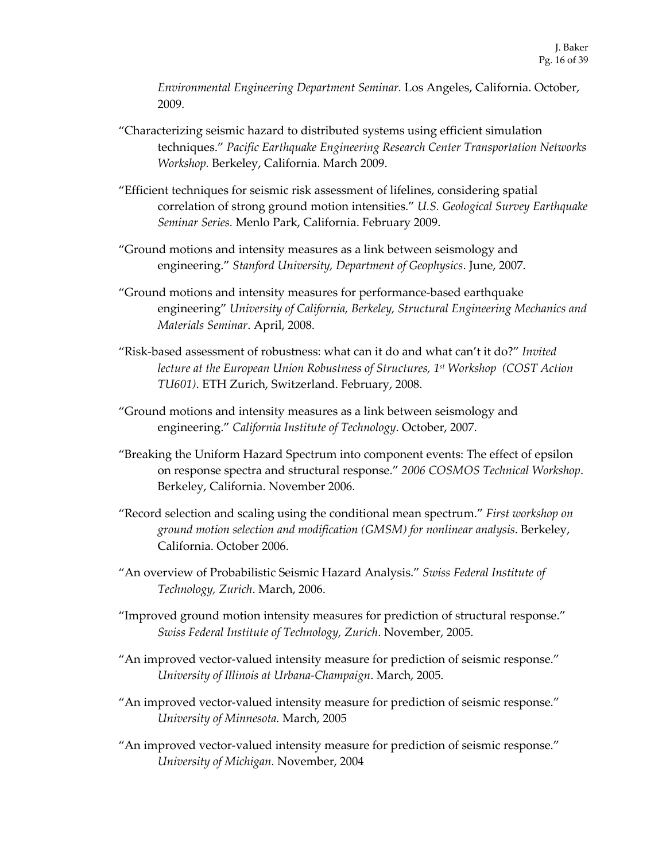*Environmental Engineering Department Seminar.* Los Angeles, California. October, 2009.

- "Characterizing seismic hazard to distributed systems using efficient simulation techniques." *Pacific Earthquake Engineering Research Center Transportation Networks Workshop.* Berkeley, California. March 2009.
- "Efficient techniques for seismic risk assessment of lifelines, considering spatial correlation of strong ground motion intensities." *U.S. Geological Survey Earthquake Seminar Series.* Menlo Park, California. February 2009.
- "Ground motions and intensity measures as a link between seismology and engineering." *Stanford University, Department of Geophysics*. June, 2007.
- "Ground motions and intensity measures for performance-based earthquake engineering" *University of California, Berkeley, Structural Engineering Mechanics and Materials Seminar*. April, 2008.
- "Risk-based assessment of robustness: what can it do and what can't it do?" *Invited lecture at the European Union Robustness of Structures, 1st Workshop (COST Action TU601)*. ETH Zurich, Switzerland. February, 2008.
- "Ground motions and intensity measures as a link between seismology and engineering." *California Institute of Technology*. October, 2007.
- "Breaking the Uniform Hazard Spectrum into component events: The effect of epsilon on response spectra and structural response." *2006 COSMOS Technical Workshop*. Berkeley, California. November 2006.
- "Record selection and scaling using the conditional mean spectrum." *First workshop on ground motion selection and modification (GMSM) for nonlinear analysis*. Berkeley, California. October 2006.
- "An overview of Probabilistic Seismic Hazard Analysis." *Swiss Federal Institute of Technology, Zurich*. March, 2006.
- "Improved ground motion intensity measures for prediction of structural response." *Swiss Federal Institute of Technology, Zurich*. November, 2005.
- "An improved vector-valued intensity measure for prediction of seismic response." *University of Illinois at Urbana-Champaign*. March, 2005.
- "An improved vector-valued intensity measure for prediction of seismic response." *University of Minnesota.* March, 2005
- "An improved vector-valued intensity measure for prediction of seismic response." *University of Michigan.* November, 2004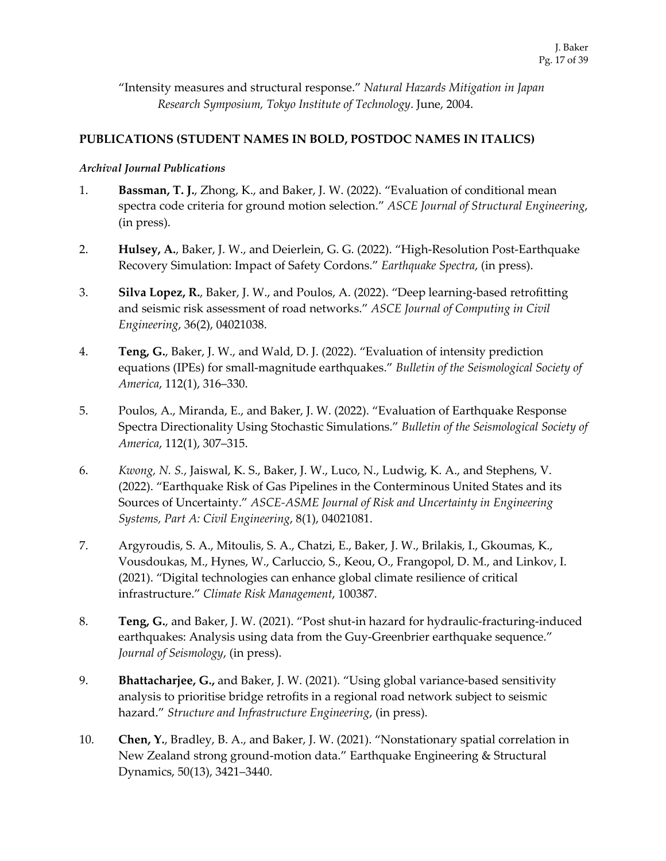"Intensity measures and structural response." *Natural Hazards Mitigation in Japan Research Symposium, Tokyo Institute of Technology*. June, 2004.

## **PUBLICATIONS (STUDENT NAMES IN BOLD, POSTDOC NAMES IN ITALICS)**

#### *Archival Journal Publications*

- 1. **Bassman, T. J.**, Zhong, K., and Baker, J. W. (2022). "Evaluation of conditional mean spectra code criteria for ground motion selection." *ASCE Journal of Structural Engineering*, (in press).
- 2. **Hulsey, A.**, Baker, J. W., and Deierlein, G. G. (2022). "High-Resolution Post-Earthquake Recovery Simulation: Impact of Safety Cordons." *Earthquake Spectra*, (in press).
- 3. **Silva Lopez, R.**, Baker, J. W., and Poulos, A. (2022). "Deep learning-based retrofitting and seismic risk assessment of road networks." *ASCE Journal of Computing in Civil Engineering*, 36(2), 04021038.
- 4. **Teng, G.**, Baker, J. W., and Wald, D. J. (2022). "Evaluation of intensity prediction equations (IPEs) for small-magnitude earthquakes." *Bulletin of the Seismological Society of America*, 112(1), 316–330.
- 5. Poulos, A., Miranda, E., and Baker, J. W. (2022). "Evaluation of Earthquake Response Spectra Directionality Using Stochastic Simulations." *Bulletin of the Seismological Society of America*, 112(1), 307–315.
- 6. *Kwong, N. S.*, Jaiswal, K. S., Baker, J. W., Luco, N., Ludwig, K. A., and Stephens, V. (2022). "Earthquake Risk of Gas Pipelines in the Conterminous United States and its Sources of Uncertainty." *ASCE-ASME Journal of Risk and Uncertainty in Engineering Systems, Part A: Civil Engineering*, 8(1), 04021081.
- 7. Argyroudis, S. A., Mitoulis, S. A., Chatzi, E., Baker, J. W., Brilakis, I., Gkoumas, K., Vousdoukas, M., Hynes, W., Carluccio, S., Keou, O., Frangopol, D. M., and Linkov, I. (2021). "Digital technologies can enhance global climate resilience of critical infrastructure." *Climate Risk Management*, 100387.
- 8. **Teng, G.**, and Baker, J. W. (2021). "Post shut-in hazard for hydraulic-fracturing-induced earthquakes: Analysis using data from the Guy-Greenbrier earthquake sequence." *Journal of Seismology*, (in press).
- 9. **Bhattacharjee, G.,** and Baker, J. W. (2021). "Using global variance-based sensitivity analysis to prioritise bridge retrofits in a regional road network subject to seismic hazard." *Structure and Infrastructure Engineering*, (in press).
- 10. **Chen, Y.**, Bradley, B. A., and Baker, J. W. (2021). "Nonstationary spatial correlation in New Zealand strong ground-motion data." Earthquake Engineering & Structural Dynamics, 50(13), 3421–3440.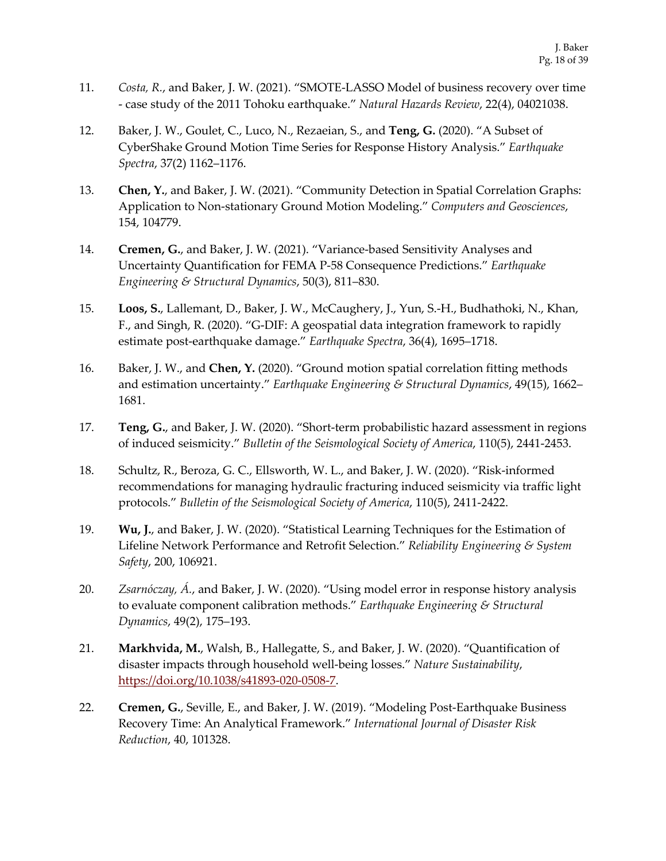- 11. *Costa, R.*, and Baker, J. W. (2021). "SMOTE-LASSO Model of business recovery over time - case study of the 2011 Tohoku earthquake." *Natural Hazards Review*, 22(4), 04021038.
- 12. Baker, J. W., Goulet, C., Luco, N., Rezaeian, S., and **Teng, G.** (2020). "A Subset of CyberShake Ground Motion Time Series for Response History Analysis." *Earthquake Spectra*, 37(2) 1162–1176.
- 13. **Chen, Y.**, and Baker, J. W. (2021). "Community Detection in Spatial Correlation Graphs: Application to Non-stationary Ground Motion Modeling." *Computers and Geosciences*, 154, 104779.
- 14. **Cremen, G.**, and Baker, J. W. (2021). "Variance-based Sensitivity Analyses and Uncertainty Quantification for FEMA P-58 Consequence Predictions." *Earthquake Engineering & Structural Dynamics*, 50(3), 811–830.
- 15. **Loos, S.**, Lallemant, D., Baker, J. W., McCaughery, J., Yun, S.-H., Budhathoki, N., Khan, F., and Singh, R. (2020). "G-DIF: A geospatial data integration framework to rapidly estimate post-earthquake damage." *Earthquake Spectra*, 36(4), 1695–1718.
- 16. Baker, J. W., and **Chen, Y.** (2020). "Ground motion spatial correlation fitting methods and estimation uncertainty." *Earthquake Engineering & Structural Dynamics*, 49(15), 1662– 1681.
- 17. **Teng, G.**, and Baker, J. W. (2020). "Short-term probabilistic hazard assessment in regions of induced seismicity." *Bulletin of the Seismological Society of America*, 110(5), 2441-2453.
- 18. Schultz, R., Beroza, G. C., Ellsworth, W. L., and Baker, J. W. (2020). "Risk-informed recommendations for managing hydraulic fracturing induced seismicity via traffic light protocols." *Bulletin of the Seismological Society of America*, 110(5), 2411-2422.
- 19. **Wu, J.**, and Baker, J. W. (2020). "Statistical Learning Techniques for the Estimation of Lifeline Network Performance and Retrofit Selection." *Reliability Engineering & System Safety*, 200, 106921.
- 20. *Zsarnóczay, Á.*, and Baker, J. W. (2020). "Using model error in response history analysis to evaluate component calibration methods." *Earthquake Engineering & Structural Dynamics*, 49(2), 175–193.
- 21. **Markhvida, M.**, Walsh, B., Hallegatte, S., and Baker, J. W. (2020). "Quantification of disaster impacts through household well-being losses." *Nature Sustainability*, https://doi.org/10.1038/s41893-020-0508-7.
- 22. **Cremen, G.**, Seville, E., and Baker, J. W. (2019). "Modeling Post-Earthquake Business Recovery Time: An Analytical Framework." *International Journal of Disaster Risk Reduction*, 40, 101328.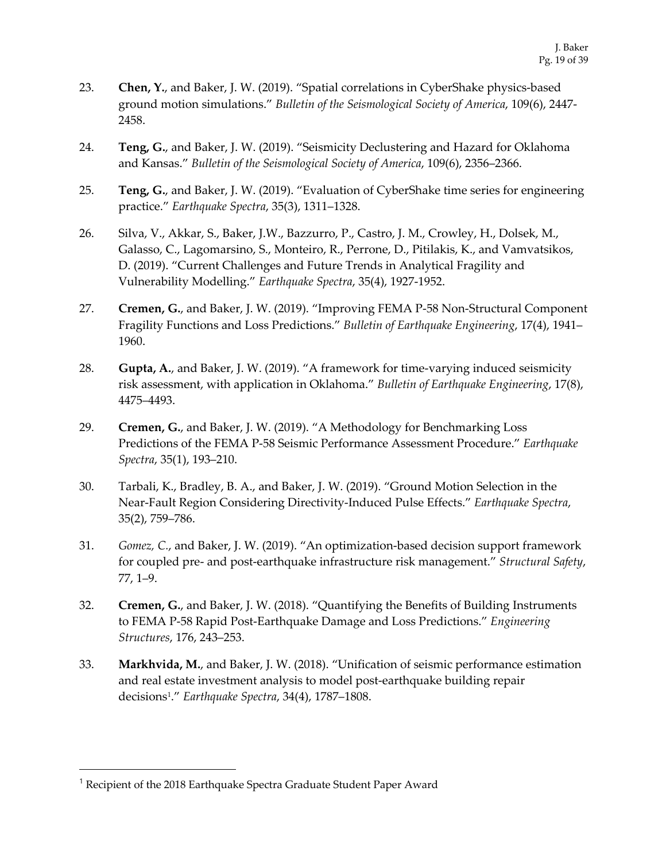- 23. **Chen, Y.**, and Baker, J. W. (2019). "Spatial correlations in CyberShake physics-based ground motion simulations." *Bulletin of the Seismological Society of America*, 109(6), 2447- 2458.
- 24. **Teng, G.**, and Baker, J. W. (2019). "Seismicity Declustering and Hazard for Oklahoma and Kansas." *Bulletin of the Seismological Society of America*, 109(6), 2356–2366.
- 25. **Teng, G.**, and Baker, J. W. (2019). "Evaluation of CyberShake time series for engineering practice." *Earthquake Spectra*, 35(3), 1311–1328.
- 26. Silva, V., Akkar, S., Baker, J.W., Bazzurro, P., Castro, J. M., Crowley, H., Dolsek, M., Galasso, C., Lagomarsino, S., Monteiro, R., Perrone, D., Pitilakis, K., and Vamvatsikos, D. (2019). "Current Challenges and Future Trends in Analytical Fragility and Vulnerability Modelling." *Earthquake Spectra*, 35(4), 1927-1952.
- 27. **Cremen, G.**, and Baker, J. W. (2019). "Improving FEMA P-58 Non-Structural Component Fragility Functions and Loss Predictions." *Bulletin of Earthquake Engineering*, 17(4), 1941– 1960.
- 28. **Gupta, A.**, and Baker, J. W. (2019). "A framework for time-varying induced seismicity risk assessment, with application in Oklahoma." *Bulletin of Earthquake Engineering*, 17(8), 4475–4493.
- 29. **Cremen, G.**, and Baker, J. W. (2019). "A Methodology for Benchmarking Loss Predictions of the FEMA P-58 Seismic Performance Assessment Procedure." *Earthquake Spectra*, 35(1), 193–210.
- 30. Tarbali, K., Bradley, B. A., and Baker, J. W. (2019). "Ground Motion Selection in the Near-Fault Region Considering Directivity-Induced Pulse Effects." *Earthquake Spectra*, 35(2), 759–786.
- 31. *Gomez, C.*, and Baker, J. W. (2019). "An optimization-based decision support framework for coupled pre- and post-earthquake infrastructure risk management." *Structural Safety*, 77, 1–9.
- 32. **Cremen, G.**, and Baker, J. W. (2018). "Quantifying the Benefits of Building Instruments to FEMA P-58 Rapid Post-Earthquake Damage and Loss Predictions." *Engineering Structures*, 176, 243–253.
- 33. **Markhvida, M.**, and Baker, J. W. (2018). "Unification of seismic performance estimation and real estate investment analysis to model post-earthquake building repair decisions1." *Earthquake Spectra*, 34(4), 1787–1808.

<sup>&</sup>lt;sup>1</sup> Recipient of the 2018 Earthquake Spectra Graduate Student Paper Award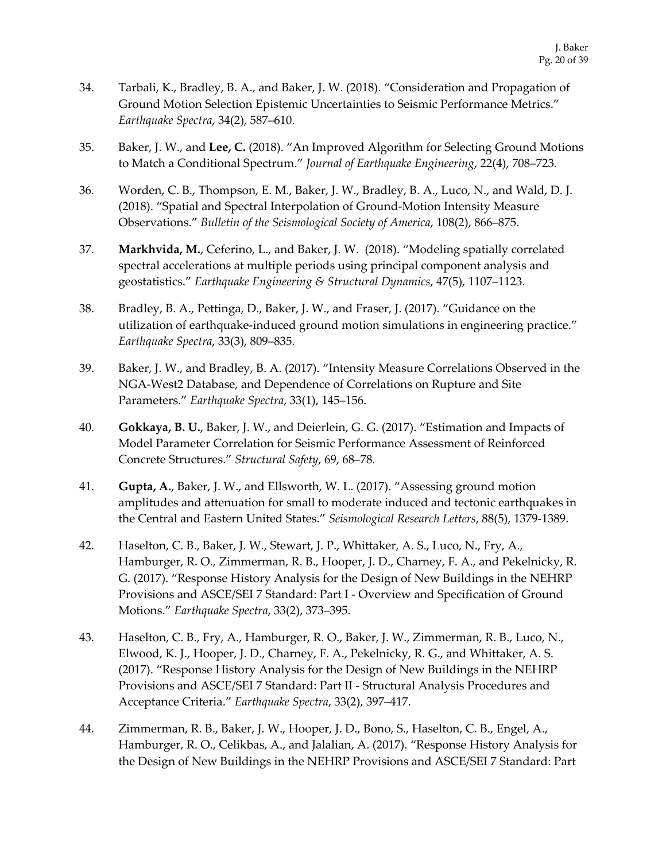- 34. Tarbali, K., Bradley, B. A., and Baker, J. W. (2018). "Consideration and Propagation of Ground Motion Selection Epistemic Uncertainties to Seismic Performance Metrics." *Earthquake Spectra*, 34(2), 587–610.
- 35. Baker, J. W., and **Lee, C.** (2018). "An Improved Algorithm for Selecting Ground Motions to Match a Conditional Spectrum." *Journal of Earthquake Engineering*, 22(4), 708–723.
- 36. Worden, C. B., Thompson, E. M., Baker, J. W., Bradley, B. A., Luco, N., and Wald, D. J. (2018). "Spatial and Spectral Interpolation of Ground-Motion Intensity Measure Observations." *Bulletin of the Seismological Society of America*, 108(2), 866–875.
- 37. **Markhvida, M.**, Ceferino, L., and Baker, J. W. (2018). "Modeling spatially correlated spectral accelerations at multiple periods using principal component analysis and geostatistics." *Earthquake Engineering & Structural Dynamics*, 47(5), 1107–1123.
- 38. Bradley, B. A., Pettinga, D., Baker, J. W., and Fraser, J. (2017). "Guidance on the utilization of earthquake-induced ground motion simulations in engineering practice." *Earthquake Spectra*, 33(3), 809–835.
- 39. Baker, J. W., and Bradley, B. A. (2017). "Intensity Measure Correlations Observed in the NGA-West2 Database, and Dependence of Correlations on Rupture and Site Parameters." *Earthquake Spectra*, 33(1), 145–156.
- 40. **Gokkaya, B. U.**, Baker, J. W., and Deierlein, G. G. (2017). "Estimation and Impacts of Model Parameter Correlation for Seismic Performance Assessment of Reinforced Concrete Structures." *Structural Safety*, 69, 68–78.
- 41. **Gupta, A.**, Baker, J. W., and Ellsworth, W. L. (2017). "Assessing ground motion amplitudes and attenuation for small to moderate induced and tectonic earthquakes in the Central and Eastern United States." *Seismological Research Letters*, 88(5), 1379-1389.
- 42. Haselton, C. B., Baker, J. W., Stewart, J. P., Whittaker, A. S., Luco, N., Fry, A., Hamburger, R. O., Zimmerman, R. B., Hooper, J. D., Charney, F. A., and Pekelnicky, R. G. (2017). "Response History Analysis for the Design of New Buildings in the NEHRP Provisions and ASCE/SEI 7 Standard: Part I - Overview and Specification of Ground Motions." *Earthquake Spectra*, 33(2), 373–395.
- 43. Haselton, C. B., Fry, A., Hamburger, R. O., Baker, J. W., Zimmerman, R. B., Luco, N., Elwood, K. J., Hooper, J. D., Charney, F. A., Pekelnicky, R. G., and Whittaker, A. S. (2017). "Response History Analysis for the Design of New Buildings in the NEHRP Provisions and ASCE/SEI 7 Standard: Part II - Structural Analysis Procedures and Acceptance Criteria." *Earthquake Spectra*, 33(2), 397–417.
- 44. Zimmerman, R. B., Baker, J. W., Hooper, J. D., Bono, S., Haselton, C. B., Engel, A., Hamburger, R. O., Celikbas, A., and Jalalian, A. (2017). "Response History Analysis for the Design of New Buildings in the NEHRP Provisions and ASCE/SEI 7 Standard: Part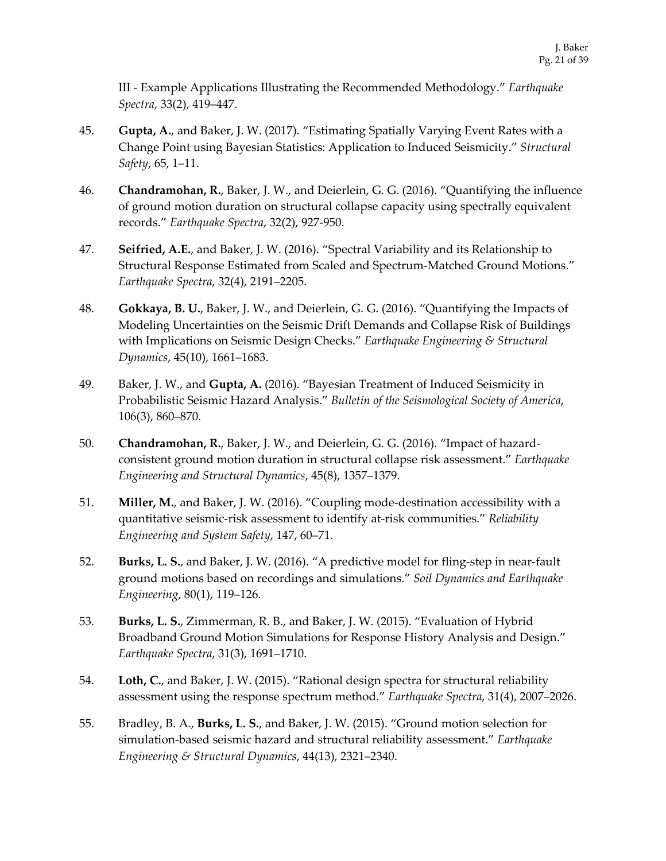III - Example Applications Illustrating the Recommended Methodology." *Earthquake Spectra*, 33(2), 419–447.

- 45. **Gupta, A.**, and Baker, J. W. (2017). "Estimating Spatially Varying Event Rates with a Change Point using Bayesian Statistics: Application to Induced Seismicity." *Structural Safety*, 65, 1–11.
- 46. **Chandramohan, R.**, Baker, J. W., and Deierlein, G. G. (2016). "Quantifying the influence of ground motion duration on structural collapse capacity using spectrally equivalent records." *Earthquake Spectra*, 32(2), 927-950.
- 47. **Seifried, A.E.**, and Baker, J. W. (2016). "Spectral Variability and its Relationship to Structural Response Estimated from Scaled and Spectrum-Matched Ground Motions." *Earthquake Spectra*, 32(4), 2191–2205.
- 48. **Gokkaya, B. U.**, Baker, J. W., and Deierlein, G. G. (2016). "Quantifying the Impacts of Modeling Uncertainties on the Seismic Drift Demands and Collapse Risk of Buildings with Implications on Seismic Design Checks." *Earthquake Engineering & Structural Dynamics*, 45(10), 1661–1683.
- 49. Baker, J. W., and **Gupta, A.** (2016). "Bayesian Treatment of Induced Seismicity in Probabilistic Seismic Hazard Analysis." *Bulletin of the Seismological Society of America*, 106(3), 860–870.
- 50. **Chandramohan, R.**, Baker, J. W., and Deierlein, G. G. (2016). "Impact of hazardconsistent ground motion duration in structural collapse risk assessment." *Earthquake Engineering and Structural Dynamics*, 45(8), 1357–1379.
- 51. **Miller, M.**, and Baker, J. W. (2016). "Coupling mode-destination accessibility with a quantitative seismic-risk assessment to identify at-risk communities." *Reliability Engineering and System Safety*, 147, 60–71.
- 52. **Burks, L. S.**, and Baker, J. W. (2016). "A predictive model for fling-step in near-fault ground motions based on recordings and simulations." *Soil Dynamics and Earthquake Engineering*, 80(1), 119–126.
- 53. **Burks, L. S.**, Zimmerman, R. B., and Baker, J. W. (2015). "Evaluation of Hybrid Broadband Ground Motion Simulations for Response History Analysis and Design." *Earthquake Spectra*, 31(3), 1691–1710.
- 54. **Loth, C.**, and Baker, J. W. (2015). "Rational design spectra for structural reliability assessment using the response spectrum method." *Earthquake Spectra*, 31(4), 2007–2026.
- 55. Bradley, B. A., **Burks, L. S.**, and Baker, J. W. (2015). "Ground motion selection for simulation-based seismic hazard and structural reliability assessment." *Earthquake Engineering & Structural Dynamics*, 44(13), 2321–2340.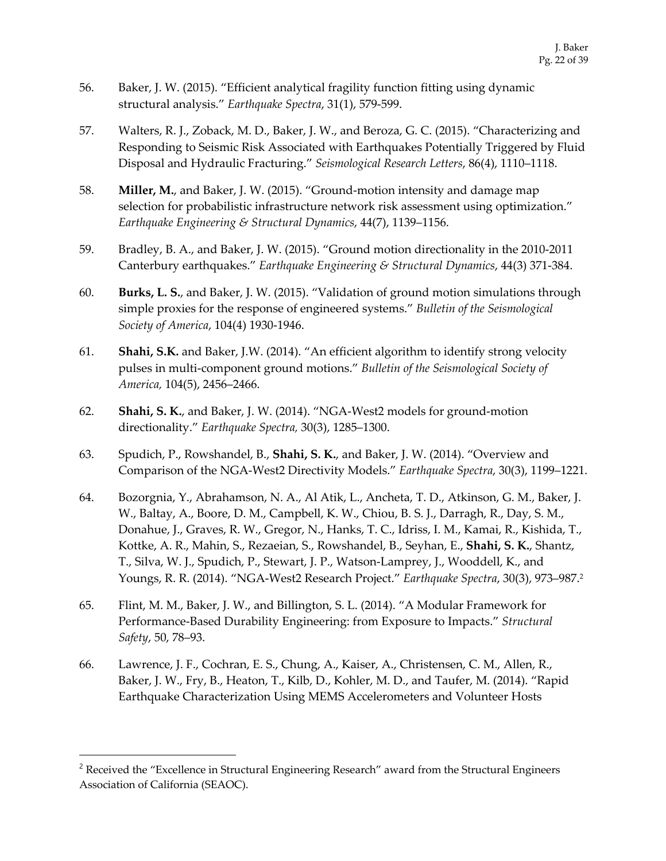- 56. Baker, J. W. (2015). "Efficient analytical fragility function fitting using dynamic structural analysis." *Earthquake Spectra*, 31(1), 579-599.
- 57. Walters, R. J., Zoback, M. D., Baker, J. W., and Beroza, G. C. (2015). "Characterizing and Responding to Seismic Risk Associated with Earthquakes Potentially Triggered by Fluid Disposal and Hydraulic Fracturing." *Seismological Research Letters*, 86(4), 1110–1118.
- 58. **Miller, M.**, and Baker, J. W. (2015). "Ground-motion intensity and damage map selection for probabilistic infrastructure network risk assessment using optimization." *Earthquake Engineering & Structural Dynamics*, 44(7), 1139–1156.
- 59. Bradley, B. A., and Baker, J. W. (2015). "Ground motion directionality in the 2010-2011 Canterbury earthquakes." *Earthquake Engineering & Structural Dynamics*, 44(3) 371-384.
- 60. **Burks, L. S.**, and Baker, J. W. (2015). "Validation of ground motion simulations through simple proxies for the response of engineered systems." *Bulletin of the Seismological Society of America*, 104(4) 1930-1946.
- 61. **Shahi, S.K.** and Baker, J.W. (2014). "An efficient algorithm to identify strong velocity pulses in multi-component ground motions." *Bulletin of the Seismological Society of America,* 104(5), 2456–2466.
- 62. **Shahi, S. K.**, and Baker, J. W. (2014). "NGA-West2 models for ground-motion directionality." *Earthquake Spectra,* 30(3), 1285–1300.
- 63. Spudich, P., Rowshandel, B., **Shahi, S. K.**, and Baker, J. W. (2014). "Overview and Comparison of the NGA-West2 Directivity Models." *Earthquake Spectra*, 30(3), 1199–1221.
- 64. Bozorgnia, Y., Abrahamson, N. A., Al Atik, L., Ancheta, T. D., Atkinson, G. M., Baker, J. W., Baltay, A., Boore, D. M., Campbell, K. W., Chiou, B. S. J., Darragh, R., Day, S. M., Donahue, J., Graves, R. W., Gregor, N., Hanks, T. C., Idriss, I. M., Kamai, R., Kishida, T., Kottke, A. R., Mahin, S., Rezaeian, S., Rowshandel, B., Seyhan, E., **Shahi, S. K.**, Shantz, T., Silva, W. J., Spudich, P., Stewart, J. P., Watson-Lamprey, J., Wooddell, K., and Youngs, R. R. (2014). "NGA-West2 Research Project." *Earthquake Spectra*, 30(3), 973–987. 2
- 65. Flint, M. M., Baker, J. W., and Billington, S. L. (2014). "A Modular Framework for Performance-Based Durability Engineering: from Exposure to Impacts." *Structural Safety*, 50, 78–93.
- 66. Lawrence, J. F., Cochran, E. S., Chung, A., Kaiser, A., Christensen, C. M., Allen, R., Baker, J. W., Fry, B., Heaton, T., Kilb, D., Kohler, M. D., and Taufer, M. (2014). "Rapid Earthquake Characterization Using MEMS Accelerometers and Volunteer Hosts

<sup>&</sup>lt;sup>2</sup> Received the "Excellence in Structural Engineering Research" award from the Structural Engineers Association of California (SEAOC).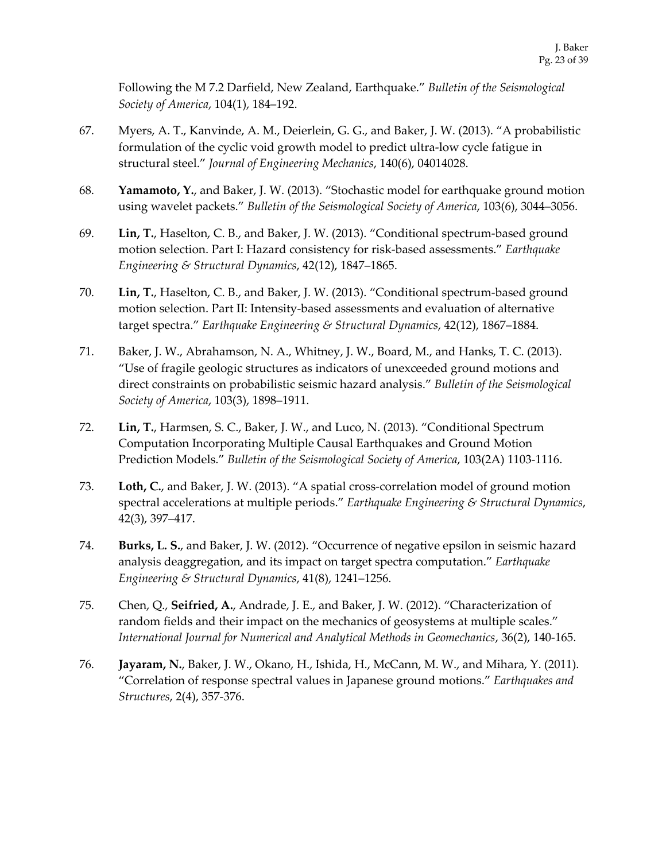Following the M 7.2 Darfield, New Zealand, Earthquake." *Bulletin of the Seismological Society of America*, 104(1), 184–192.

- 67. Myers, A. T., Kanvinde, A. M., Deierlein, G. G., and Baker, J. W. (2013). "A probabilistic formulation of the cyclic void growth model to predict ultra-low cycle fatigue in structural steel." *Journal of Engineering Mechanics*, 140(6), 04014028.
- 68. **Yamamoto, Y.**, and Baker, J. W. (2013). "Stochastic model for earthquake ground motion using wavelet packets." *Bulletin of the Seismological Society of America*, 103(6), 3044–3056.
- 69. **Lin, T.**, Haselton, C. B., and Baker, J. W. (2013). "Conditional spectrum-based ground motion selection. Part I: Hazard consistency for risk-based assessments." *Earthquake Engineering & Structural Dynamics*, 42(12), 1847–1865.
- 70. **Lin, T.**, Haselton, C. B., and Baker, J. W. (2013). "Conditional spectrum-based ground motion selection. Part II: Intensity-based assessments and evaluation of alternative target spectra." *Earthquake Engineering & Structural Dynamics*, 42(12), 1867–1884.
- 71. Baker, J. W., Abrahamson, N. A., Whitney, J. W., Board, M., and Hanks, T. C. (2013). "Use of fragile geologic structures as indicators of unexceeded ground motions and direct constraints on probabilistic seismic hazard analysis." *Bulletin of the Seismological Society of America*, 103(3), 1898–1911.
- 72. **Lin, T.**, Harmsen, S. C., Baker, J. W., and Luco, N. (2013). "Conditional Spectrum Computation Incorporating Multiple Causal Earthquakes and Ground Motion Prediction Models." *Bulletin of the Seismological Society of America*, 103(2A) 1103-1116.
- 73. **Loth, C.**, and Baker, J. W. (2013). "A spatial cross-correlation model of ground motion spectral accelerations at multiple periods." *Earthquake Engineering & Structural Dynamics*, 42(3), 397–417.
- 74. **Burks, L. S.**, and Baker, J. W. (2012). "Occurrence of negative epsilon in seismic hazard analysis deaggregation, and its impact on target spectra computation." *Earthquake Engineering & Structural Dynamics*, 41(8), 1241–1256.
- 75. Chen, Q., **Seifried, A.**, Andrade, J. E., and Baker, J. W. (2012). "Characterization of random fields and their impact on the mechanics of geosystems at multiple scales." *International Journal for Numerical and Analytical Methods in Geomechanics*, 36(2), 140-165.
- 76. **Jayaram, N.**, Baker, J. W., Okano, H., Ishida, H., McCann, M. W., and Mihara, Y. (2011). "Correlation of response spectral values in Japanese ground motions." *Earthquakes and Structures*, 2(4), 357-376.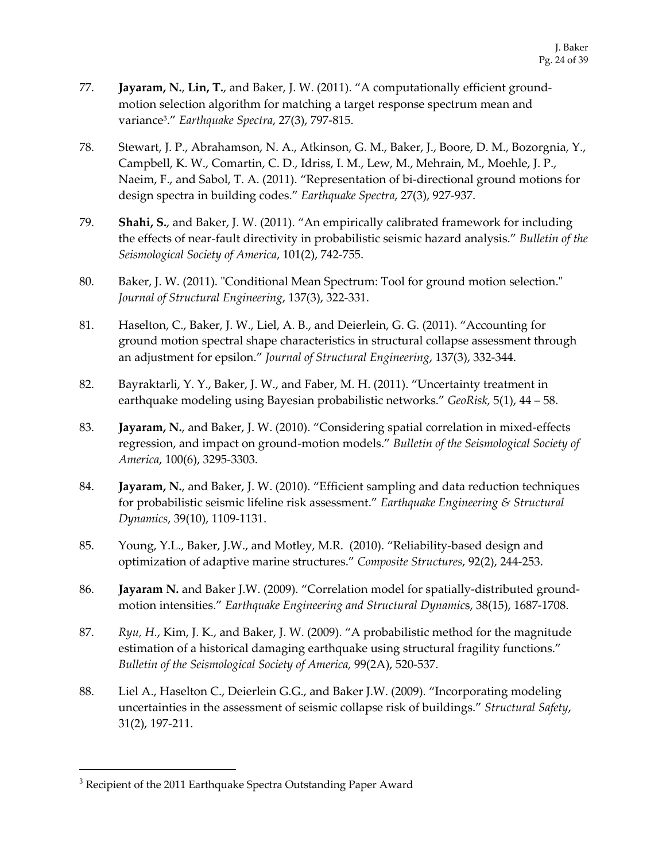- 77. **Jayaram, N.**, **Lin, T.**, and Baker, J. W. (2011). "A computationally efficient groundmotion selection algorithm for matching a target response spectrum mean and variance3." *Earthquake Spectra*, 27(3), 797-815.
- 78. Stewart, J. P., Abrahamson, N. A., Atkinson, G. M., Baker, J., Boore, D. M., Bozorgnia, Y., Campbell, K. W., Comartin, C. D., Idriss, I. M., Lew, M., Mehrain, M., Moehle, J. P., Naeim, F., and Sabol, T. A. (2011). "Representation of bi-directional ground motions for design spectra in building codes." *Earthquake Spectra*, 27(3), 927-937.
- 79. **Shahi, S.**, and Baker, J. W. (2011). "An empirically calibrated framework for including the effects of near-fault directivity in probabilistic seismic hazard analysis." *Bulletin of the Seismological Society of America*, 101(2), 742-755.
- 80. Baker, J. W. (2011). "Conditional Mean Spectrum: Tool for ground motion selection." *Journal of Structural Engineering*, 137(3), 322-331.
- 81. Haselton, C., Baker, J. W., Liel, A. B., and Deierlein, G. G. (2011). "Accounting for ground motion spectral shape characteristics in structural collapse assessment through an adjustment for epsilon." *Journal of Structural Engineering*, 137(3), 332-344.
- 82. Bayraktarli, Y. Y., Baker, J. W., and Faber, M. H. (2011). "Uncertainty treatment in earthquake modeling using Bayesian probabilistic networks." *GeoRisk,* 5(1), 44 – 58.
- 83. **Jayaram, N.**, and Baker, J. W. (2010). "Considering spatial correlation in mixed-effects regression, and impact on ground-motion models." *Bulletin of the Seismological Society of America*, 100(6), 3295-3303.
- 84. **Jayaram, N.**, and Baker, J. W. (2010). "Efficient sampling and data reduction techniques for probabilistic seismic lifeline risk assessment." *Earthquake Engineering & Structural Dynamics*, 39(10), 1109-1131.
- 85. Young, Y.L., Baker, J.W., and Motley, M.R. (2010). "Reliability-based design and optimization of adaptive marine structures." *Composite Structures*, 92(2), 244-253.
- 86. **Jayaram N.** and Baker J.W. (2009). "Correlation model for spatially-distributed groundmotion intensities." *Earthquake Engineering and Structural Dynamic*s, 38(15), 1687-1708.
- 87. *Ryu, H.*, Kim, J. K., and Baker, J. W. (2009). "A probabilistic method for the magnitude estimation of a historical damaging earthquake using structural fragility functions." *Bulletin of the Seismological Society of America,* 99(2A), 520-537.
- 88. Liel A., Haselton C., Deierlein G.G., and Baker J.W. (2009). "Incorporating modeling uncertainties in the assessment of seismic collapse risk of buildings." *Structural Safety*, 31(2), 197-211.

<sup>&</sup>lt;sup>3</sup> Recipient of the 2011 Earthquake Spectra Outstanding Paper Award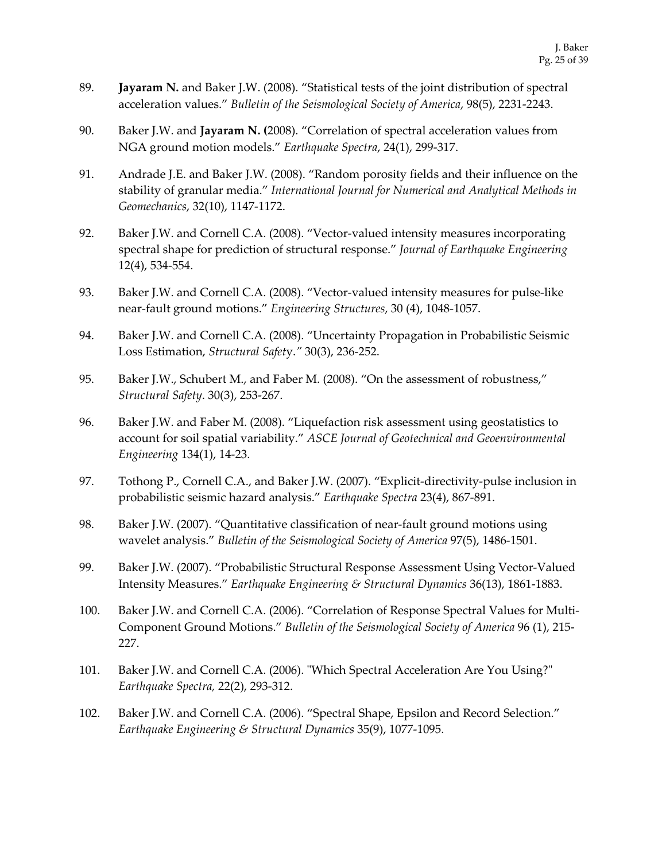- 89. **Jayaram N.** and Baker J.W. (2008). "Statistical tests of the joint distribution of spectral acceleration values." *Bulletin of the Seismological Society of America*, 98(5), 2231-2243.
- 90. Baker J.W. and **Jayaram N. (**2008). "Correlation of spectral acceleration values from NGA ground motion models." *Earthquake Spectra*, 24(1), 299-317.
- 91. Andrade J.E. and Baker J.W. (2008). "Random porosity fields and their influence on the stability of granular media." *International Journal for Numerical and Analytical Methods in Geomechanics*, 32(10), 1147-1172.
- 92. Baker J.W. and Cornell C.A. (2008). "Vector-valued intensity measures incorporating spectral shape for prediction of structural response." *Journal of Earthquake Engineering* 12(4), 534-554.
- 93. Baker J.W. and Cornell C.A. (2008). "Vector-valued intensity measures for pulse-like near-fault ground motions." *Engineering Structures*, 30 (4), 1048-1057.
- 94. Baker J.W. and Cornell C.A. (2008). "Uncertainty Propagation in Probabilistic Seismic Loss Estimation, *Structural Safet*y.*"* 30(3), 236-252.
- 95. Baker J.W., Schubert M., and Faber M. (2008). "On the assessment of robustness," *Structural Safety*. 30(3), 253-267.
- 96. Baker J.W. and Faber M. (2008). "Liquefaction risk assessment using geostatistics to account for soil spatial variability." *ASCE Journal of Geotechnical and Geoenvironmental Engineering* 134(1), 14-23.
- 97. Tothong P., Cornell C.A., and Baker J.W. (2007). "Explicit-directivity-pulse inclusion in probabilistic seismic hazard analysis." *Earthquake Spectra* 23(4), 867-891.
- 98. Baker J.W. (2007). "Quantitative classification of near-fault ground motions using wavelet analysis." *Bulletin of the Seismological Society of America* 97(5), 1486-1501.
- 99. Baker J.W. (2007). "Probabilistic Structural Response Assessment Using Vector-Valued Intensity Measures." *Earthquake Engineering & Structural Dynamics* 36(13), 1861-1883.
- 100. Baker J.W. and Cornell C.A. (2006). "Correlation of Response Spectral Values for Multi-Component Ground Motions." *Bulletin of the Seismological Society of America* 96 (1), 215- 227.
- 101. Baker J.W. and Cornell C.A. (2006). "Which Spectral Acceleration Are You Using?" *Earthquake Spectra,* 22(2), 293-312.
- 102. Baker J.W. and Cornell C.A. (2006). "Spectral Shape, Epsilon and Record Selection." *Earthquake Engineering & Structural Dynamics* 35(9), 1077-1095.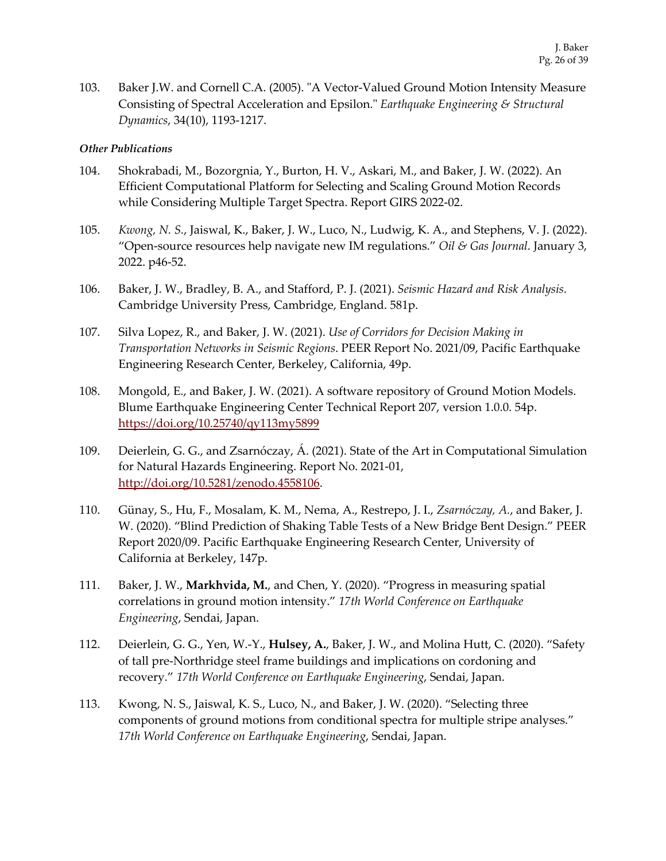103. Baker J.W. and Cornell C.A. (2005). "A Vector-Valued Ground Motion Intensity Measure Consisting of Spectral Acceleration and Epsilon." *Earthquake Engineering & Structural Dynamics*, 34(10), 1193-1217.

#### *Other Publications*

- 104. Shokrabadi, M., Bozorgnia, Y., Burton, H. V., Askari, M., and Baker, J. W. (2022). An Efficient Computational Platform for Selecting and Scaling Ground Motion Records while Considering Multiple Target Spectra. Report GIRS 2022-02.
- 105. *Kwong, N. S.*, Jaiswal, K., Baker, J. W., Luco, N., Ludwig, K. A., and Stephens, V. J. (2022). "Open-source resources help navigate new IM regulations." *Oil & Gas Journal*. January 3, 2022. p46-52.
- 106. Baker, J. W., Bradley, B. A., and Stafford, P. J. (2021). *Seismic Hazard and Risk Analysis*. Cambridge University Press, Cambridge, England. 581p.
- 107. Silva Lopez, R., and Baker, J. W. (2021). *Use of Corridors for Decision Making in Transportation Networks in Seismic Regions*. PEER Report No. 2021/09, Pacific Earthquake Engineering Research Center, Berkeley, California, 49p.
- 108. Mongold, E., and Baker, J. W. (2021). A software repository of Ground Motion Models. Blume Earthquake Engineering Center Technical Report 207, version 1.0.0. 54p. https://doi.org/10.25740/qy113my5899
- 109. Deierlein, G. G., and Zsarnóczay, Á. (2021). State of the Art in Computational Simulation for Natural Hazards Engineering. Report No. 2021-01, http://doi.org/10.5281/zenodo.4558106.
- 110. Günay, S., Hu, F., Mosalam, K. M., Nema, A., Restrepo, J. I., *Zsarnóczay, A.*, and Baker, J. W. (2020). "Blind Prediction of Shaking Table Tests of a New Bridge Bent Design." PEER Report 2020/09. Pacific Earthquake Engineering Research Center, University of California at Berkeley, 147p.
- 111. Baker, J. W., **Markhvida, M.**, and Chen, Y. (2020). "Progress in measuring spatial correlations in ground motion intensity." *17th World Conference on Earthquake Engineering*, Sendai, Japan.
- 112. Deierlein, G. G., Yen, W.-Y., **Hulsey, A.**, Baker, J. W., and Molina Hutt, C. (2020). "Safety of tall pre-Northridge steel frame buildings and implications on cordoning and recovery." *17th World Conference on Earthquake Engineering*, Sendai, Japan.
- 113. Kwong, N. S., Jaiswal, K. S., Luco, N., and Baker, J. W. (2020). "Selecting three components of ground motions from conditional spectra for multiple stripe analyses." *17th World Conference on Earthquake Engineering*, Sendai, Japan.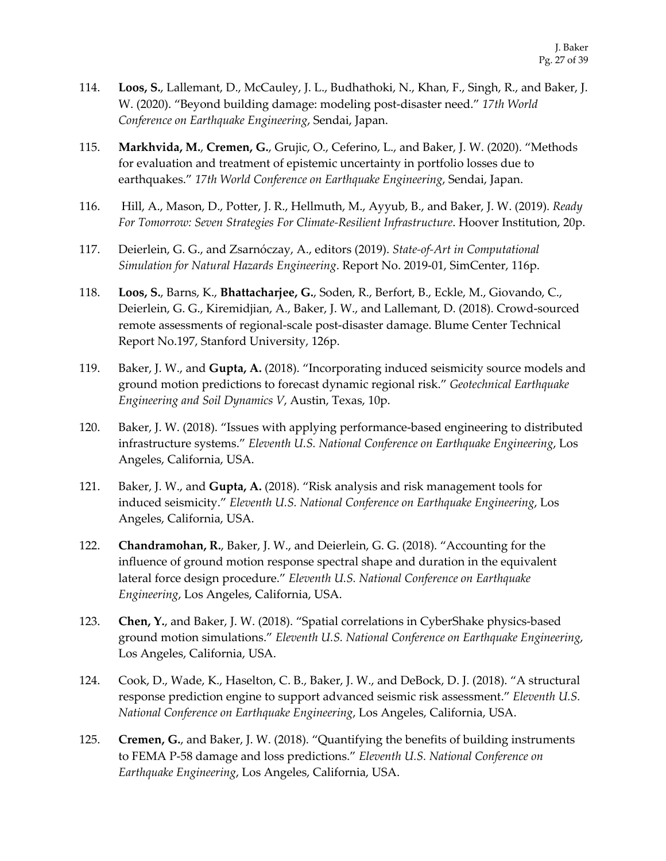- 114. **Loos, S.**, Lallemant, D., McCauley, J. L., Budhathoki, N., Khan, F., Singh, R., and Baker, J. W. (2020). "Beyond building damage: modeling post-disaster need." *17th World Conference on Earthquake Engineering*, Sendai, Japan.
- 115. **Markhvida, M.**, **Cremen, G.**, Grujic, O., Ceferino, L., and Baker, J. W. (2020). "Methods for evaluation and treatment of epistemic uncertainty in portfolio losses due to earthquakes." *17th World Conference on Earthquake Engineering*, Sendai, Japan.
- 116. Hill, A., Mason, D., Potter, J. R., Hellmuth, M., Ayyub, B., and Baker, J. W. (2019). *Ready For Tomorrow: Seven Strategies For Climate-Resilient Infrastructure*. Hoover Institution, 20p.
- 117. Deierlein, G. G., and Zsarnóczay, A., editors (2019). *State-of-Art in Computational Simulation for Natural Hazards Engineering*. Report No. 2019-01, SimCenter, 116p.
- 118. **Loos, S.**, Barns, K., **Bhattacharjee, G.**, Soden, R., Berfort, B., Eckle, M., Giovando, C., Deierlein, G. G., Kiremidjian, A., Baker, J. W., and Lallemant, D. (2018). Crowd-sourced remote assessments of regional-scale post-disaster damage. Blume Center Technical Report No.197, Stanford University, 126p.
- 119. Baker, J. W., and **Gupta, A.** (2018). "Incorporating induced seismicity source models and ground motion predictions to forecast dynamic regional risk." *Geotechnical Earthquake Engineering and Soil Dynamics V*, Austin, Texas, 10p.
- 120. Baker, J. W. (2018). "Issues with applying performance-based engineering to distributed infrastructure systems." *Eleventh U.S. National Conference on Earthquake Engineering*, Los Angeles, California, USA.
- 121. Baker, J. W., and **Gupta, A.** (2018). "Risk analysis and risk management tools for induced seismicity." *Eleventh U.S. National Conference on Earthquake Engineering*, Los Angeles, California, USA.
- 122. **Chandramohan, R.**, Baker, J. W., and Deierlein, G. G. (2018). "Accounting for the influence of ground motion response spectral shape and duration in the equivalent lateral force design procedure." *Eleventh U.S. National Conference on Earthquake Engineering*, Los Angeles, California, USA.
- 123. **Chen, Y.**, and Baker, J. W. (2018). "Spatial correlations in CyberShake physics-based ground motion simulations." *Eleventh U.S. National Conference on Earthquake Engineering*, Los Angeles, California, USA.
- 124. Cook, D., Wade, K., Haselton, C. B., Baker, J. W., and DeBock, D. J. (2018). "A structural response prediction engine to support advanced seismic risk assessment." *Eleventh U.S. National Conference on Earthquake Engineering*, Los Angeles, California, USA.
- 125. **Cremen, G.**, and Baker, J. W. (2018). "Quantifying the benefits of building instruments to FEMA P-58 damage and loss predictions." *Eleventh U.S. National Conference on Earthquake Engineering*, Los Angeles, California, USA.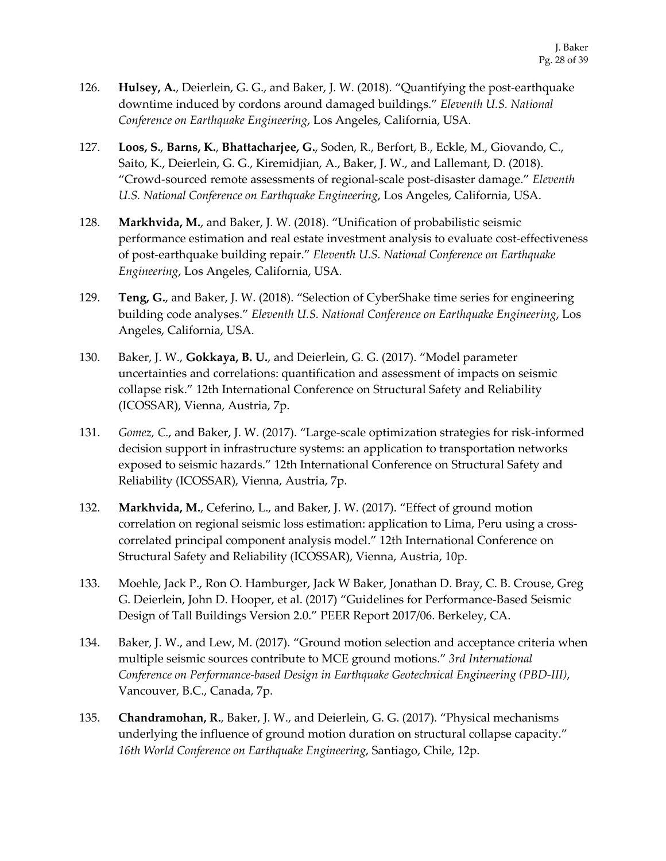- 126. **Hulsey, A.**, Deierlein, G. G., and Baker, J. W. (2018). "Quantifying the post-earthquake downtime induced by cordons around damaged buildings." *Eleventh U.S. National Conference on Earthquake Engineering*, Los Angeles, California, USA.
- 127. **Loos, S.**, **Barns, K.**, **Bhattacharjee, G.**, Soden, R., Berfort, B., Eckle, M., Giovando, C., Saito, K., Deierlein, G. G., Kiremidjian, A., Baker, J. W., and Lallemant, D. (2018). "Crowd-sourced remote assessments of regional-scale post-disaster damage." *Eleventh U.S. National Conference on Earthquake Engineering*, Los Angeles, California, USA.
- 128. **Markhvida, M.**, and Baker, J. W. (2018). "Unification of probabilistic seismic performance estimation and real estate investment analysis to evaluate cost-effectiveness of post-earthquake building repair." *Eleventh U.S. National Conference on Earthquake Engineering*, Los Angeles, California, USA.
- 129. **Teng, G.**, and Baker, J. W. (2018). "Selection of CyberShake time series for engineering building code analyses." *Eleventh U.S. National Conference on Earthquake Engineering*, Los Angeles, California, USA.
- 130. Baker, J. W., **Gokkaya, B. U.**, and Deierlein, G. G. (2017). "Model parameter uncertainties and correlations: quantification and assessment of impacts on seismic collapse risk." 12th International Conference on Structural Safety and Reliability (ICOSSAR), Vienna, Austria, 7p.
- 131. *Gomez, C.*, and Baker, J. W. (2017). "Large-scale optimization strategies for risk-informed decision support in infrastructure systems: an application to transportation networks exposed to seismic hazards." 12th International Conference on Structural Safety and Reliability (ICOSSAR), Vienna, Austria, 7p.
- 132. **Markhvida, M.**, Ceferino, L., and Baker, J. W. (2017). "Effect of ground motion correlation on regional seismic loss estimation: application to Lima, Peru using a crosscorrelated principal component analysis model." 12th International Conference on Structural Safety and Reliability (ICOSSAR), Vienna, Austria, 10p.
- 133. Moehle, Jack P., Ron O. Hamburger, Jack W Baker, Jonathan D. Bray, C. B. Crouse, Greg G. Deierlein, John D. Hooper, et al. (2017) "Guidelines for Performance-Based Seismic Design of Tall Buildings Version 2.0." PEER Report 2017/06. Berkeley, CA.
- 134. Baker, J. W., and Lew, M. (2017). "Ground motion selection and acceptance criteria when multiple seismic sources contribute to MCE ground motions." *3rd International Conference on Performance-based Design in Earthquake Geotechnical Engineering (PBD-III)*, Vancouver, B.C., Canada, 7p.
- 135. **Chandramohan, R.**, Baker, J. W., and Deierlein, G. G. (2017). "Physical mechanisms underlying the influence of ground motion duration on structural collapse capacity." *16th World Conference on Earthquake Engineering*, Santiago, Chile, 12p.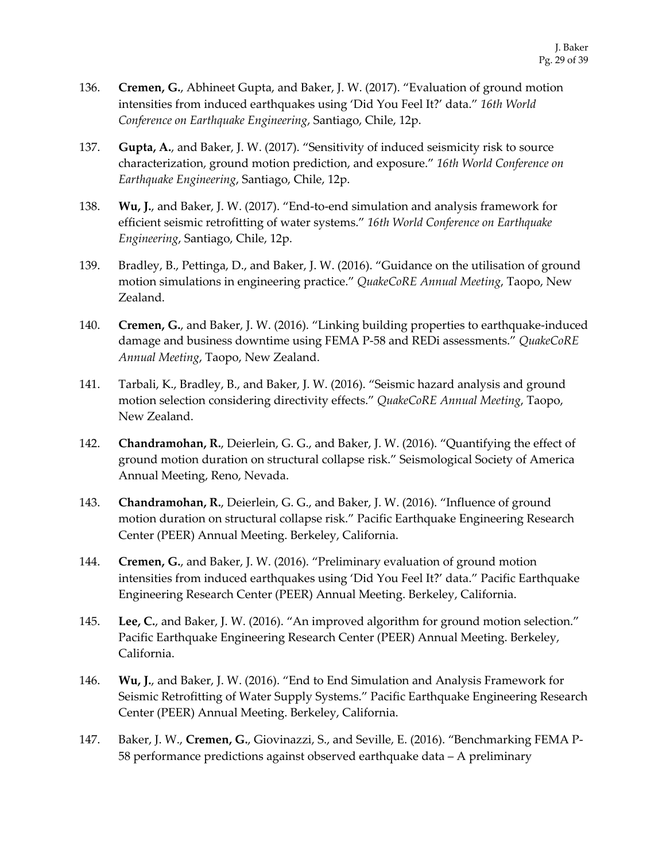- 136. **Cremen, G.**, Abhineet Gupta, and Baker, J. W. (2017). "Evaluation of ground motion intensities from induced earthquakes using 'Did You Feel It?' data." *16th World Conference on Earthquake Engineering*, Santiago, Chile, 12p.
- 137. **Gupta, A.**, and Baker, J. W. (2017). "Sensitivity of induced seismicity risk to source characterization, ground motion prediction, and exposure." *16th World Conference on Earthquake Engineering*, Santiago, Chile, 12p.
- 138. **Wu, J.**, and Baker, J. W. (2017). "End-to-end simulation and analysis framework for efficient seismic retrofitting of water systems." *16th World Conference on Earthquake Engineering*, Santiago, Chile, 12p.
- 139. Bradley, B., Pettinga, D., and Baker, J. W. (2016). "Guidance on the utilisation of ground motion simulations in engineering practice." *QuakeCoRE Annual Meeting*, Taopo, New Zealand.
- 140. **Cremen, G.**, and Baker, J. W. (2016). "Linking building properties to earthquake-induced damage and business downtime using FEMA P-58 and REDi assessments." *QuakeCoRE Annual Meeting*, Taopo, New Zealand.
- 141. Tarbali, K., Bradley, B., and Baker, J. W. (2016). "Seismic hazard analysis and ground motion selection considering directivity effects." *QuakeCoRE Annual Meeting*, Taopo, New Zealand.
- 142. **Chandramohan, R.**, Deierlein, G. G., and Baker, J. W. (2016). "Quantifying the effect of ground motion duration on structural collapse risk." Seismological Society of America Annual Meeting, Reno, Nevada.
- 143. **Chandramohan, R.**, Deierlein, G. G., and Baker, J. W. (2016). "Influence of ground motion duration on structural collapse risk." Pacific Earthquake Engineering Research Center (PEER) Annual Meeting. Berkeley, California.
- 144. **Cremen, G.**, and Baker, J. W. (2016). "Preliminary evaluation of ground motion intensities from induced earthquakes using 'Did You Feel It?' data." Pacific Earthquake Engineering Research Center (PEER) Annual Meeting. Berkeley, California.
- 145. **Lee, C.**, and Baker, J. W. (2016). "An improved algorithm for ground motion selection." Pacific Earthquake Engineering Research Center (PEER) Annual Meeting. Berkeley, California.
- 146. **Wu, J.**, and Baker, J. W. (2016). "End to End Simulation and Analysis Framework for Seismic Retrofitting of Water Supply Systems." Pacific Earthquake Engineering Research Center (PEER) Annual Meeting. Berkeley, California.
- 147. Baker, J. W., **Cremen, G.**, Giovinazzi, S., and Seville, E. (2016). "Benchmarking FEMA P-58 performance predictions against observed earthquake data – A preliminary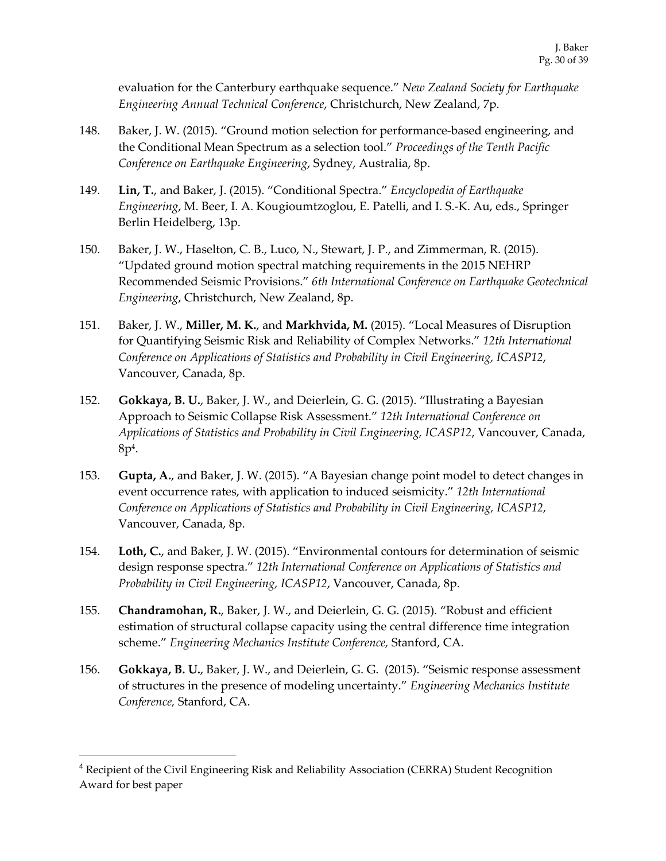evaluation for the Canterbury earthquake sequence." *New Zealand Society for Earthquake Engineering Annual Technical Conference*, Christchurch, New Zealand, 7p.

- 148. Baker, J. W. (2015). "Ground motion selection for performance-based engineering, and the Conditional Mean Spectrum as a selection tool." *Proceedings of the Tenth Pacific Conference on Earthquake Engineering*, Sydney, Australia, 8p.
- 149. **Lin, T.**, and Baker, J. (2015). "Conditional Spectra." *Encyclopedia of Earthquake Engineering*, M. Beer, I. A. Kougioumtzoglou, E. Patelli, and I. S.-K. Au, eds., Springer Berlin Heidelberg, 13p.
- 150. Baker, J. W., Haselton, C. B., Luco, N., Stewart, J. P., and Zimmerman, R. (2015). "Updated ground motion spectral matching requirements in the 2015 NEHRP Recommended Seismic Provisions." *6th International Conference on Earthquake Geotechnical Engineering*, Christchurch, New Zealand, 8p.
- 151. Baker, J. W., **Miller, M. K.**, and **Markhvida, M.** (2015). "Local Measures of Disruption for Quantifying Seismic Risk and Reliability of Complex Networks." *12th International Conference on Applications of Statistics and Probability in Civil Engineering, ICASP12*, Vancouver, Canada, 8p.
- 152. **Gokkaya, B. U.**, Baker, J. W., and Deierlein, G. G. (2015). "Illustrating a Bayesian Approach to Seismic Collapse Risk Assessment." *12th International Conference on Applications of Statistics and Probability in Civil Engineering, ICASP12*, Vancouver, Canada, 8p4.
- 153. **Gupta, A.**, and Baker, J. W. (2015). "A Bayesian change point model to detect changes in event occurrence rates, with application to induced seismicity." *12th International Conference on Applications of Statistics and Probability in Civil Engineering, ICASP12*, Vancouver, Canada, 8p.
- 154. **Loth, C.**, and Baker, J. W. (2015). "Environmental contours for determination of seismic design response spectra." *12th International Conference on Applications of Statistics and Probability in Civil Engineering, ICASP12*, Vancouver, Canada, 8p.
- 155. **Chandramohan, R.**, Baker, J. W., and Deierlein, G. G. (2015). "Robust and efficient estimation of structural collapse capacity using the central difference time integration scheme." *Engineering Mechanics Institute Conference,* Stanford, CA.
- 156. **Gokkaya, B. U.**, Baker, J. W., and Deierlein, G. G. (2015). "Seismic response assessment of structures in the presence of modeling uncertainty." *Engineering Mechanics Institute Conference,* Stanford, CA.

<sup>4</sup> Recipient of the Civil Engineering Risk and Reliability Association (CERRA) Student Recognition Award for best paper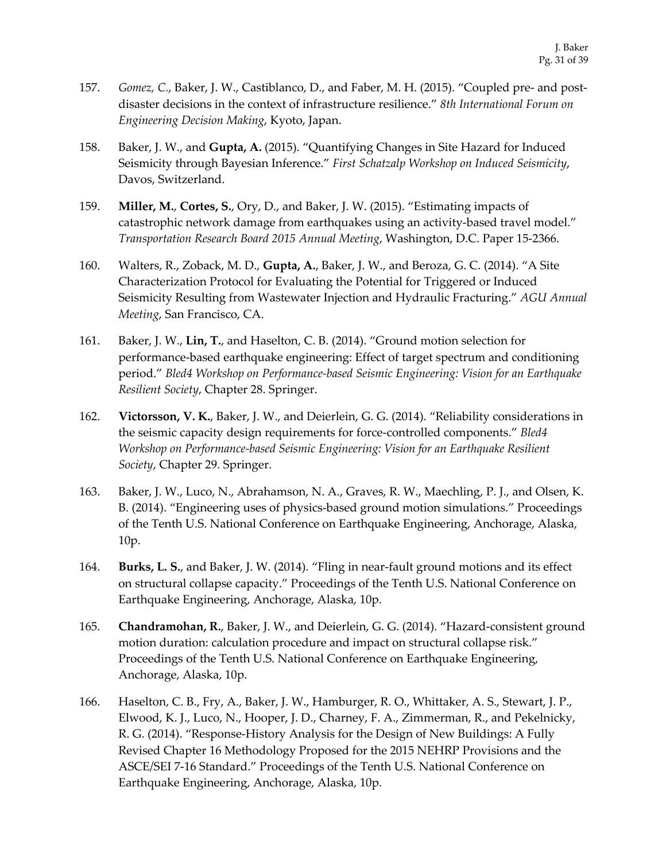- 157. *Gomez, C.*, Baker, J. W., Castiblanco, D., and Faber, M. H. (2015). "Coupled pre- and postdisaster decisions in the context of infrastructure resilience." *8th International Forum on Engineering Decision Making*, Kyoto, Japan.
- 158. Baker, J. W., and **Gupta, A.** (2015). "Quantifying Changes in Site Hazard for Induced Seismicity through Bayesian Inference." *First Schatzalp Workshop on Induced Seismicity*, Davos, Switzerland.
- 159. **Miller, M.**, **Cortes, S.**, Ory, D., and Baker, J. W. (2015). "Estimating impacts of catastrophic network damage from earthquakes using an activity-based travel model." *Transportation Research Board 2015 Annual Meeting*, Washington, D.C. Paper 15-2366.
- 160. Walters, R., Zoback, M. D., **Gupta, A.**, Baker, J. W., and Beroza, G. C. (2014). "A Site Characterization Protocol for Evaluating the Potential for Triggered or Induced Seismicity Resulting from Wastewater Injection and Hydraulic Fracturing." *AGU Annual Meeting*, San Francisco, CA.
- 161. Baker, J. W., **Lin, T.**, and Haselton, C. B. (2014). "Ground motion selection for performance-based earthquake engineering: Effect of target spectrum and conditioning period." *Bled4 Workshop on Performance-based Seismic Engineering: Vision for an Earthquake Resilient Society*, Chapter 28. Springer.
- 162. **Victorsson, V. K.**, Baker, J. W., and Deierlein, G. G. (2014). "Reliability considerations in the seismic capacity design requirements for force-controlled components." *Bled4 Workshop on Performance-based Seismic Engineering: Vision for an Earthquake Resilient Society*, Chapter 29. Springer.
- 163. Baker, J. W., Luco, N., Abrahamson, N. A., Graves, R. W., Maechling, P. J., and Olsen, K. B. (2014). "Engineering uses of physics-based ground motion simulations." Proceedings of the Tenth U.S. National Conference on Earthquake Engineering, Anchorage, Alaska, 10p.
- 164. **Burks, L. S.**, and Baker, J. W. (2014). "Fling in near-fault ground motions and its effect on structural collapse capacity." Proceedings of the Tenth U.S. National Conference on Earthquake Engineering, Anchorage, Alaska, 10p.
- 165. **Chandramohan, R.**, Baker, J. W., and Deierlein, G. G. (2014). "Hazard-consistent ground motion duration: calculation procedure and impact on structural collapse risk." Proceedings of the Tenth U.S. National Conference on Earthquake Engineering, Anchorage, Alaska, 10p.
- 166. Haselton, C. B., Fry, A., Baker, J. W., Hamburger, R. O., Whittaker, A. S., Stewart, J. P., Elwood, K. J., Luco, N., Hooper, J. D., Charney, F. A., Zimmerman, R., and Pekelnicky, R. G. (2014). "Response-History Analysis for the Design of New Buildings: A Fully Revised Chapter 16 Methodology Proposed for the 2015 NEHRP Provisions and the ASCE/SEI 7-16 Standard." Proceedings of the Tenth U.S. National Conference on Earthquake Engineering, Anchorage, Alaska, 10p.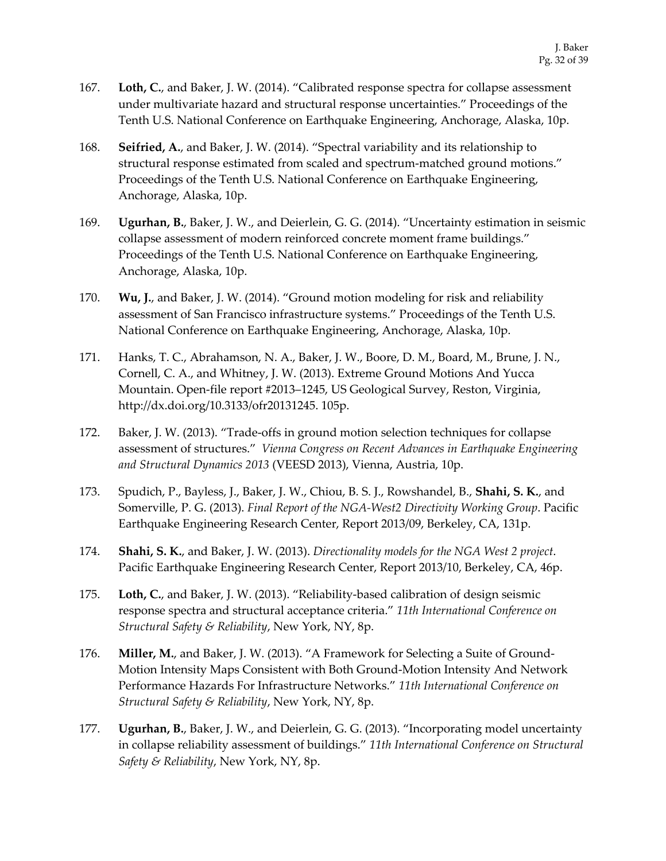- 167. **Loth, C.**, and Baker, J. W. (2014). "Calibrated response spectra for collapse assessment under multivariate hazard and structural response uncertainties." Proceedings of the Tenth U.S. National Conference on Earthquake Engineering, Anchorage, Alaska, 10p.
- 168. **Seifried, A.**, and Baker, J. W. (2014). "Spectral variability and its relationship to structural response estimated from scaled and spectrum-matched ground motions." Proceedings of the Tenth U.S. National Conference on Earthquake Engineering, Anchorage, Alaska, 10p.
- 169. **Ugurhan, B.**, Baker, J. W., and Deierlein, G. G. (2014). "Uncertainty estimation in seismic collapse assessment of modern reinforced concrete moment frame buildings." Proceedings of the Tenth U.S. National Conference on Earthquake Engineering, Anchorage, Alaska, 10p.
- 170. **Wu, J.**, and Baker, J. W. (2014). "Ground motion modeling for risk and reliability assessment of San Francisco infrastructure systems." Proceedings of the Tenth U.S. National Conference on Earthquake Engineering, Anchorage, Alaska, 10p.
- 171. Hanks, T. C., Abrahamson, N. A., Baker, J. W., Boore, D. M., Board, M., Brune, J. N., Cornell, C. A., and Whitney, J. W. (2013). Extreme Ground Motions And Yucca Mountain. Open-file report #2013–1245, US Geological Survey, Reston, Virginia, http://dx.doi.org/10.3133/ofr20131245. 105p.
- 172. Baker, J. W. (2013). "Trade-offs in ground motion selection techniques for collapse assessment of structures." *Vienna Congress on Recent Advances in Earthquake Engineering and Structural Dynamics 2013* (VEESD 2013), Vienna, Austria, 10p.
- 173. Spudich, P., Bayless, J., Baker, J. W., Chiou, B. S. J., Rowshandel, B., **Shahi, S. K.**, and Somerville, P. G. (2013). *Final Report of the NGA-West2 Directivity Working Group*. Pacific Earthquake Engineering Research Center, Report 2013/09, Berkeley, CA, 131p.
- 174. **Shahi, S. K.**, and Baker, J. W. (2013). *Directionality models for the NGA West 2 project*. Pacific Earthquake Engineering Research Center, Report 2013/10, Berkeley, CA, 46p.
- 175. **Loth, C.**, and Baker, J. W. (2013). "Reliability-based calibration of design seismic response spectra and structural acceptance criteria." *11th International Conference on Structural Safety & Reliability*, New York, NY, 8p.
- 176. **Miller, M.**, and Baker, J. W. (2013). "A Framework for Selecting a Suite of Ground-Motion Intensity Maps Consistent with Both Ground-Motion Intensity And Network Performance Hazards For Infrastructure Networks." *11th International Conference on Structural Safety & Reliability*, New York, NY, 8p.
- 177. **Ugurhan, B.**, Baker, J. W., and Deierlein, G. G. (2013). "Incorporating model uncertainty in collapse reliability assessment of buildings." *11th International Conference on Structural Safety & Reliability*, New York, NY, 8p.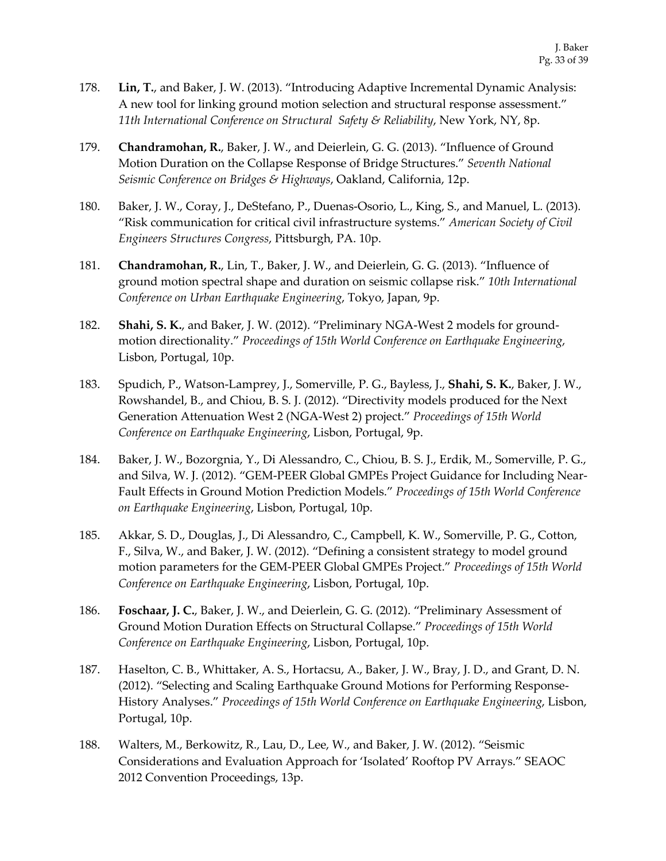- 178. **Lin, T.**, and Baker, J. W. (2013). "Introducing Adaptive Incremental Dynamic Analysis: A new tool for linking ground motion selection and structural response assessment." *11th International Conference on Structural Safety & Reliability*, New York, NY, 8p.
- 179. **Chandramohan, R.**, Baker, J. W., and Deierlein, G. G. (2013). "Influence of Ground Motion Duration on the Collapse Response of Bridge Structures." *Seventh National Seismic Conference on Bridges & Highways*, Oakland, California, 12p.
- 180. Baker, J. W., Coray, J., DeStefano, P., Duenas-Osorio, L., King, S., and Manuel, L. (2013). "Risk communication for critical civil infrastructure systems." *American Society of Civil Engineers Structures Congress*, Pittsburgh, PA. 10p.
- 181. **Chandramohan, R.**, Lin, T., Baker, J. W., and Deierlein, G. G. (2013). "Influence of ground motion spectral shape and duration on seismic collapse risk." *10th International Conference on Urban Earthquake Engineering*, Tokyo, Japan, 9p.
- 182. **Shahi, S. K.**, and Baker, J. W. (2012). "Preliminary NGA-West 2 models for groundmotion directionality." *Proceedings of 15th World Conference on Earthquake Engineering*, Lisbon, Portugal, 10p.
- 183. Spudich, P., Watson-Lamprey, J., Somerville, P. G., Bayless, J., **Shahi, S. K.**, Baker, J. W., Rowshandel, B., and Chiou, B. S. J. (2012). "Directivity models produced for the Next Generation Attenuation West 2 (NGA-West 2) project." *Proceedings of 15th World Conference on Earthquake Engineering*, Lisbon, Portugal, 9p.
- 184. Baker, J. W., Bozorgnia, Y., Di Alessandro, C., Chiou, B. S. J., Erdik, M., Somerville, P. G., and Silva, W. J. (2012). "GEM-PEER Global GMPEs Project Guidance for Including Near-Fault Effects in Ground Motion Prediction Models." *Proceedings of 15th World Conference on Earthquake Engineering*, Lisbon, Portugal, 10p.
- 185. Akkar, S. D., Douglas, J., Di Alessandro, C., Campbell, K. W., Somerville, P. G., Cotton, F., Silva, W., and Baker, J. W. (2012). "Defining a consistent strategy to model ground motion parameters for the GEM-PEER Global GMPEs Project." *Proceedings of 15th World Conference on Earthquake Engineering*, Lisbon, Portugal, 10p.
- 186. **Foschaar, J. C.**, Baker, J. W., and Deierlein, G. G. (2012). "Preliminary Assessment of Ground Motion Duration Effects on Structural Collapse." *Proceedings of 15th World Conference on Earthquake Engineering*, Lisbon, Portugal, 10p.
- 187. Haselton, C. B., Whittaker, A. S., Hortacsu, A., Baker, J. W., Bray, J. D., and Grant, D. N. (2012). "Selecting and Scaling Earthquake Ground Motions for Performing Response-History Analyses." *Proceedings of 15th World Conference on Earthquake Engineering*, Lisbon, Portugal, 10p.
- 188. Walters, M., Berkowitz, R., Lau, D., Lee, W., and Baker, J. W. (2012). "Seismic Considerations and Evaluation Approach for 'Isolated' Rooftop PV Arrays." SEAOC 2012 Convention Proceedings, 13p.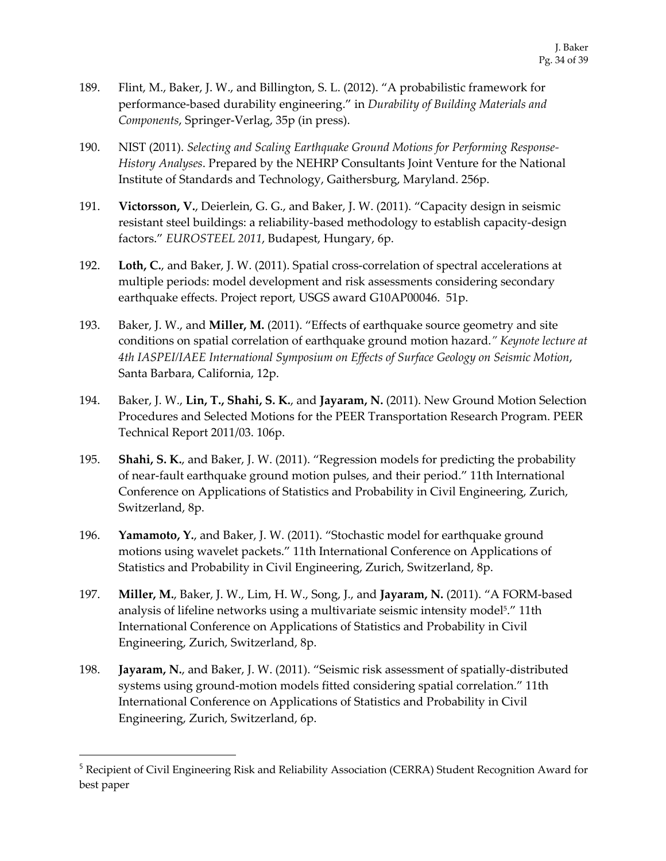- 189. Flint, M., Baker, J. W., and Billington, S. L. (2012). "A probabilistic framework for performance-based durability engineering." in *Durability of Building Materials and Components*, Springer-Verlag, 35p (in press).
- 190. NIST (2011). *Selecting and Scaling Earthquake Ground Motions for Performing Response-History Analyses*. Prepared by the NEHRP Consultants Joint Venture for the National Institute of Standards and Technology, Gaithersburg, Maryland. 256p.
- 191. **Victorsson, V.**, Deierlein, G. G., and Baker, J. W. (2011). "Capacity design in seismic resistant steel buildings: a reliability-based methodology to establish capacity-design factors." *EUROSTEEL 2011*, Budapest, Hungary, 6p.
- 192. **Loth, C.**, and Baker, J. W. (2011). Spatial cross-correlation of spectral accelerations at multiple periods: model development and risk assessments considering secondary earthquake effects. Project report, USGS award G10AP00046. 51p.
- 193. Baker, J. W., and **Miller, M.** (2011). "Effects of earthquake source geometry and site conditions on spatial correlation of earthquake ground motion hazard.*" Keynote lecture at 4th IASPEI/IAEE International Symposium on Effects of Surface Geology on Seismic Motion*, Santa Barbara, California, 12p.
- 194. Baker, J. W., **Lin, T., Shahi, S. K.**, and **Jayaram, N.** (2011). New Ground Motion Selection Procedures and Selected Motions for the PEER Transportation Research Program. PEER Technical Report 2011/03. 106p.
- 195. **Shahi, S. K.**, and Baker, J. W. (2011). "Regression models for predicting the probability of near-fault earthquake ground motion pulses, and their period." 11th International Conference on Applications of Statistics and Probability in Civil Engineering, Zurich, Switzerland, 8p.
- 196. **Yamamoto, Y.**, and Baker, J. W. (2011). "Stochastic model for earthquake ground motions using wavelet packets." 11th International Conference on Applications of Statistics and Probability in Civil Engineering, Zurich, Switzerland, 8p.
- 197. **Miller, M.**, Baker, J. W., Lim, H. W., Song, J., and **Jayaram, N.** (2011). "A FORM-based analysis of lifeline networks using a multivariate seismic intensity model5." 11th International Conference on Applications of Statistics and Probability in Civil Engineering, Zurich, Switzerland, 8p.
- 198. **Jayaram, N.**, and Baker, J. W. (2011). "Seismic risk assessment of spatially-distributed systems using ground-motion models fitted considering spatial correlation." 11th International Conference on Applications of Statistics and Probability in Civil Engineering, Zurich, Switzerland, 6p.

<sup>5</sup> Recipient of Civil Engineering Risk and Reliability Association (CERRA) Student Recognition Award for best paper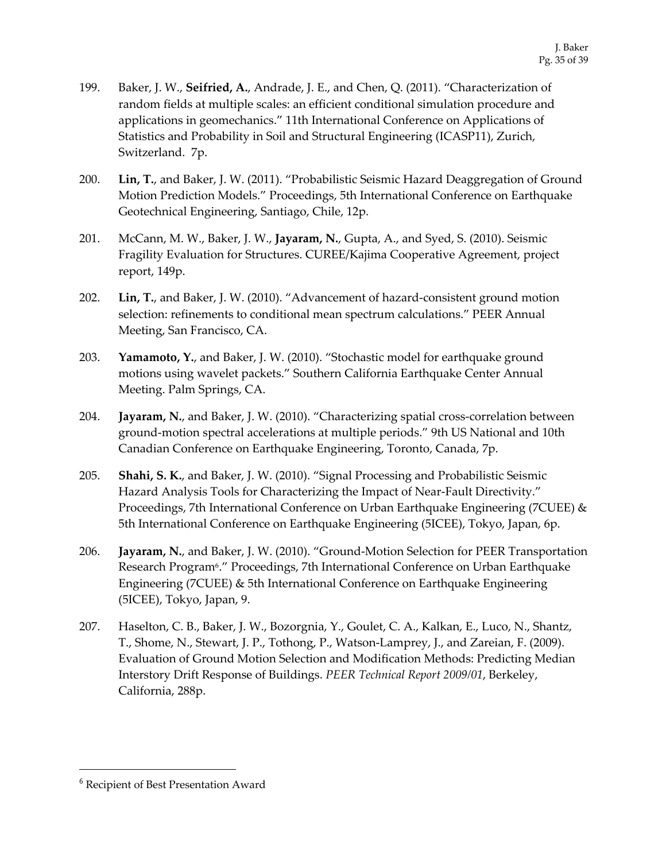- 199. Baker, J. W., **Seifried, A.**, Andrade, J. E., and Chen, Q. (2011). "Characterization of random fields at multiple scales: an efficient conditional simulation procedure and applications in geomechanics." 11th International Conference on Applications of Statistics and Probability in Soil and Structural Engineering (ICASP11), Zurich, Switzerland. 7p.
- 200. **Lin, T.**, and Baker, J. W. (2011). "Probabilistic Seismic Hazard Deaggregation of Ground Motion Prediction Models." Proceedings, 5th International Conference on Earthquake Geotechnical Engineering, Santiago, Chile, 12p.
- 201. McCann, M. W., Baker, J. W., **Jayaram, N.**, Gupta, A., and Syed, S. (2010). Seismic Fragility Evaluation for Structures. CUREE/Kajima Cooperative Agreement, project report, 149p.
- 202. **Lin, T.**, and Baker, J. W. (2010). "Advancement of hazard-consistent ground motion selection: refinements to conditional mean spectrum calculations." PEER Annual Meeting, San Francisco, CA.
- 203. **Yamamoto, Y.**, and Baker, J. W. (2010). "Stochastic model for earthquake ground motions using wavelet packets." Southern California Earthquake Center Annual Meeting. Palm Springs, CA.
- 204. **Jayaram, N.**, and Baker, J. W. (2010). "Characterizing spatial cross-correlation between ground-motion spectral accelerations at multiple periods." 9th US National and 10th Canadian Conference on Earthquake Engineering, Toronto, Canada, 7p.
- 205. **Shahi, S. K.**, and Baker, J. W. (2010). "Signal Processing and Probabilistic Seismic Hazard Analysis Tools for Characterizing the Impact of Near-Fault Directivity." Proceedings, 7th International Conference on Urban Earthquake Engineering (7CUEE) & 5th International Conference on Earthquake Engineering (5ICEE), Tokyo, Japan, 6p.
- 206. **Jayaram, N.**, and Baker, J. W. (2010). "Ground-Motion Selection for PEER Transportation Research Program6." Proceedings, 7th International Conference on Urban Earthquake Engineering (7CUEE) & 5th International Conference on Earthquake Engineering (5ICEE), Tokyo, Japan, 9.
- 207. Haselton, C. B., Baker, J. W., Bozorgnia, Y., Goulet, C. A., Kalkan, E., Luco, N., Shantz, T., Shome, N., Stewart, J. P., Tothong, P., Watson-Lamprey, J., and Zareian, F. (2009). Evaluation of Ground Motion Selection and Modification Methods: Predicting Median Interstory Drift Response of Buildings. *PEER Technical Report 2009/01*, Berkeley, California, 288p.

<sup>6</sup> Recipient of Best Presentation Award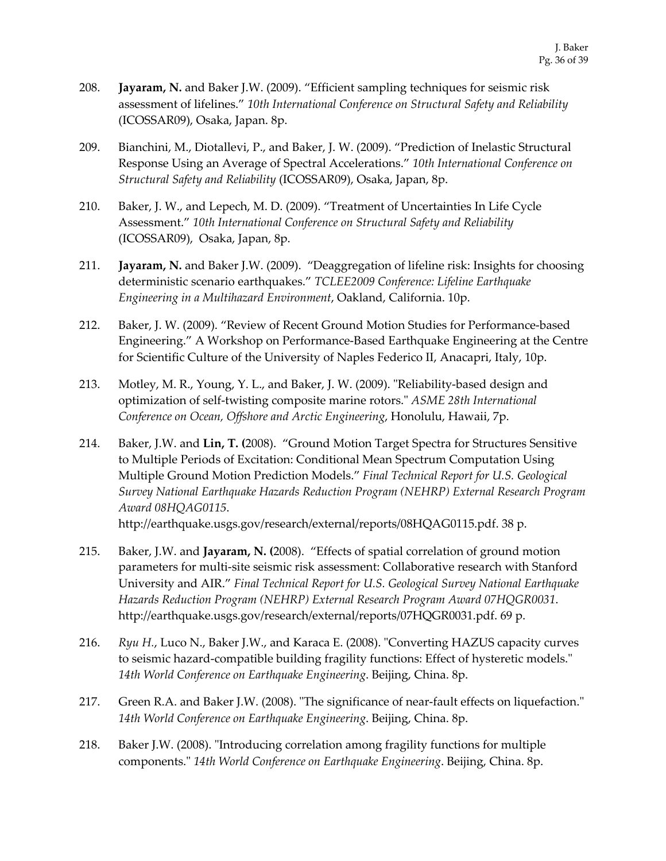- 208. **Jayaram, N.** and Baker J.W. (2009). "Efficient sampling techniques for seismic risk assessment of lifelines." *10th International Conference on Structural Safety and Reliability*  (ICOSSAR09), Osaka, Japan. 8p.
- 209. Bianchini, M., Diotallevi, P., and Baker, J. W. (2009). "Prediction of Inelastic Structural Response Using an Average of Spectral Accelerations." *10th International Conference on Structural Safety and Reliability* (ICOSSAR09), Osaka, Japan, 8p.
- 210. Baker, J. W., and Lepech, M. D. (2009). "Treatment of Uncertainties In Life Cycle Assessment." *10th International Conference on Structural Safety and Reliability*  (ICOSSAR09), Osaka, Japan, 8p.
- 211. **Jayaram, N.** and Baker J.W. (2009). "Deaggregation of lifeline risk: Insights for choosing deterministic scenario earthquakes." *TCLEE2009 Conference: Lifeline Earthquake Engineering in a Multihazard Environment*, Oakland, California. 10p.
- 212. Baker, J. W. (2009). "Review of Recent Ground Motion Studies for Performance-based Engineering." A Workshop on Performance-Based Earthquake Engineering at the Centre for Scientific Culture of the University of Naples Federico II, Anacapri, Italy, 10p.
- 213. Motley, M. R., Young, Y. L., and Baker, J. W. (2009). "Reliability-based design and optimization of self-twisting composite marine rotors." *ASME 28th International Conference on Ocean, Offshore and Arctic Engineering*, Honolulu, Hawaii, 7p.
- 214. Baker, J.W. and **Lin, T. (**2008). "Ground Motion Target Spectra for Structures Sensitive to Multiple Periods of Excitation: Conditional Mean Spectrum Computation Using Multiple Ground Motion Prediction Models." *Final Technical Report for U.S. Geological Survey National Earthquake Hazards Reduction Program (NEHRP) External Research Program Award 08HQAG0115*.

http://earthquake.usgs.gov/research/external/reports/08HQAG0115.pdf. 38 p.

- 215. Baker, J.W. and **Jayaram, N. (**2008). "Effects of spatial correlation of ground motion parameters for multi-site seismic risk assessment: Collaborative research with Stanford University and AIR." *Final Technical Report for U.S. Geological Survey National Earthquake Hazards Reduction Program (NEHRP) External Research Program Award 07HQGR0031*. http://earthquake.usgs.gov/research/external/reports/07HQGR0031.pdf. 69 p.
- 216. *Ryu H.*, Luco N., Baker J.W., and Karaca E. (2008). "Converting HAZUS capacity curves to seismic hazard-compatible building fragility functions: Effect of hysteretic models." *14th World Conference on Earthquake Engineering*. Beijing, China. 8p.
- 217. Green R.A. and Baker J.W. (2008). "The significance of near-fault effects on liquefaction." *14th World Conference on Earthquake Engineering*. Beijing, China. 8p.
- 218. Baker J.W. (2008). "Introducing correlation among fragility functions for multiple components." *14th World Conference on Earthquake Engineering*. Beijing, China. 8p.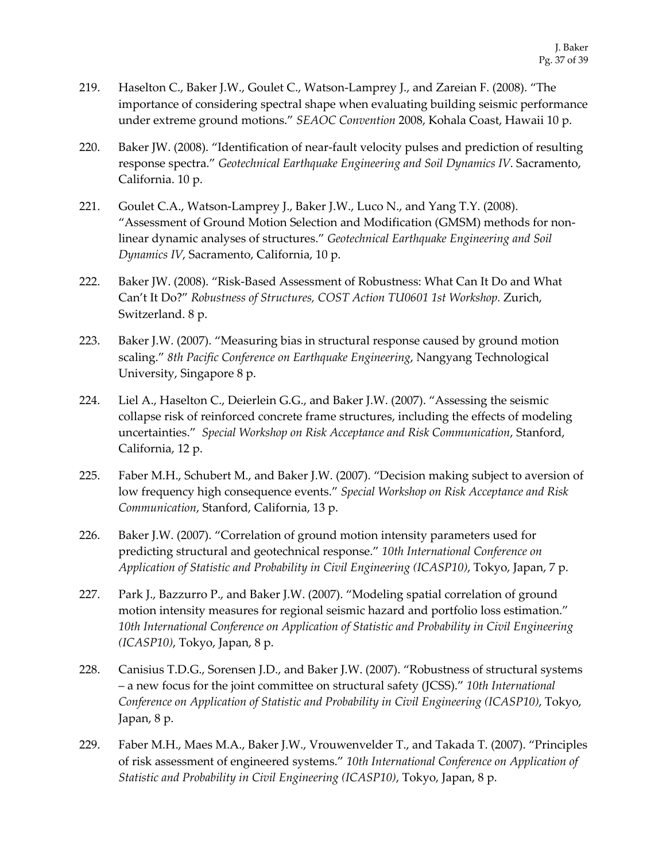- 219. Haselton C., Baker J.W., Goulet C., Watson-Lamprey J., and Zareian F. (2008). "The importance of considering spectral shape when evaluating building seismic performance under extreme ground motions." *SEAOC Convention* 2008, Kohala Coast, Hawaii 10 p.
- 220. Baker JW. (2008). "Identification of near-fault velocity pulses and prediction of resulting response spectra." *Geotechnical Earthquake Engineering and Soil Dynamics IV*. Sacramento, California. 10 p.
- 221. Goulet C.A., Watson-Lamprey J., Baker J.W., Luco N., and Yang T.Y. (2008). "Assessment of Ground Motion Selection and Modification (GMSM) methods for nonlinear dynamic analyses of structures." *Geotechnical Earthquake Engineering and Soil Dynamics IV*, Sacramento, California, 10 p.
- 222. Baker JW. (2008). "Risk-Based Assessment of Robustness: What Can It Do and What Can't It Do?" *Robustness of Structures, COST Action TU0601 1st Workshop.* Zurich, Switzerland. 8 p.
- 223. Baker J.W. (2007). "Measuring bias in structural response caused by ground motion scaling." *8th Pacific Conference on Earthquake Engineering*, Nangyang Technological University, Singapore 8 p.
- 224. Liel A., Haselton C., Deierlein G.G., and Baker J.W. (2007). "Assessing the seismic collapse risk of reinforced concrete frame structures, including the effects of modeling uncertainties." *Special Workshop on Risk Acceptance and Risk Communication*, Stanford, California, 12 p.
- 225. Faber M.H., Schubert M., and Baker J.W. (2007). "Decision making subject to aversion of low frequency high consequence events." *Special Workshop on Risk Acceptance and Risk Communication*, Stanford, California, 13 p.
- 226. Baker J.W. (2007). "Correlation of ground motion intensity parameters used for predicting structural and geotechnical response." *10th International Conference on Application of Statistic and Probability in Civil Engineering (ICASP10)*, Tokyo, Japan, 7 p.
- 227. Park J., Bazzurro P., and Baker J.W. (2007). "Modeling spatial correlation of ground motion intensity measures for regional seismic hazard and portfolio loss estimation." *10th International Conference on Application of Statistic and Probability in Civil Engineering (ICASP10)*, Tokyo, Japan, 8 p.
- 228. Canisius T.D.G., Sorensen J.D., and Baker J.W. (2007). "Robustness of structural systems – a new focus for the joint committee on structural safety (JCSS)." *10th International Conference on Application of Statistic and Probability in Civil Engineering (ICASP10)*, Tokyo, Japan, 8 p.
- 229. Faber M.H., Maes M.A., Baker J.W., Vrouwenvelder T., and Takada T. (2007). "Principles of risk assessment of engineered systems." *10th International Conference on Application of Statistic and Probability in Civil Engineering (ICASP10)*, Tokyo, Japan, 8 p.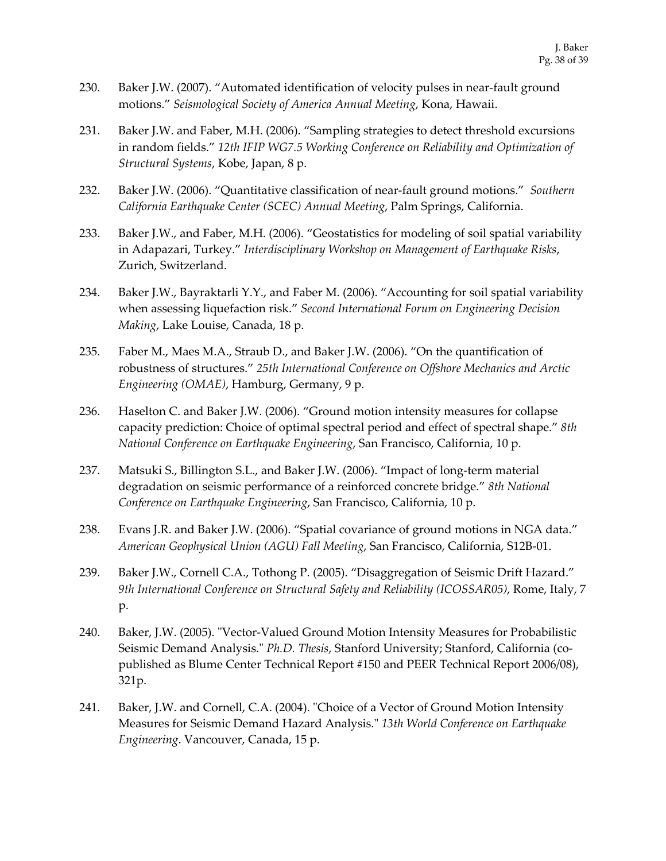- 230. Baker J.W. (2007). "Automated identification of velocity pulses in near-fault ground motions." *Seismological Society of America Annual Meeting*, Kona, Hawaii.
- 231. Baker J.W. and Faber, M.H. (2006). "Sampling strategies to detect threshold excursions in random fields." *12th IFIP WG7.5 Working Conference on Reliability and Optimization of Structural Systems*, Kobe, Japan, 8 p.
- 232. Baker J.W. (2006). "Quantitative classification of near-fault ground motions." *Southern California Earthquake Center (SCEC) Annual Meeting*, Palm Springs, California.
- 233. Baker J.W., and Faber, M.H. (2006). "Geostatistics for modeling of soil spatial variability in Adapazari, Turkey." *Interdisciplinary Workshop on Management of Earthquake Risks*, Zurich, Switzerland.
- 234. Baker J.W., Bayraktarli Y.Y., and Faber M. (2006). "Accounting for soil spatial variability when assessing liquefaction risk." *Second International Forum on Engineering Decision Making*, Lake Louise, Canada, 18 p.
- 235. Faber M., Maes M.A., Straub D., and Baker J.W. (2006). "On the quantification of robustness of structures." *25th International Conference on Offshore Mechanics and Arctic Engineering (OMAE)*, Hamburg, Germany, 9 p.
- 236. Haselton C. and Baker J.W. (2006). "Ground motion intensity measures for collapse capacity prediction: Choice of optimal spectral period and effect of spectral shape." *8th National Conference on Earthquake Engineering*, San Francisco, California, 10 p.
- 237. Matsuki S., Billington S.L., and Baker J.W. (2006). "Impact of long-term material degradation on seismic performance of a reinforced concrete bridge." *8th National Conference on Earthquake Engineering*, San Francisco, California, 10 p.
- 238. Evans J.R. and Baker J.W. (2006). "Spatial covariance of ground motions in NGA data." *American Geophysical Union (AGU) Fall Meeting*, San Francisco, California, S12B-01.
- 239. Baker J.W., Cornell C.A., Tothong P. (2005). "Disaggregation of Seismic Drift Hazard." *9th International Conference on Structural Safety and Reliability (ICOSSAR05)*, Rome, Italy, 7 p.
- 240. Baker, J.W. (2005). "Vector-Valued Ground Motion Intensity Measures for Probabilistic Seismic Demand Analysis." *Ph.D. Thesis*, Stanford University; Stanford, California (copublished as Blume Center Technical Report #150 and PEER Technical Report 2006/08), 321p.
- 241. Baker, J.W. and Cornell, C.A. (2004). "Choice of a Vector of Ground Motion Intensity Measures for Seismic Demand Hazard Analysis." *13th World Conference on Earthquake Engineering*. Vancouver, Canada, 15 p.